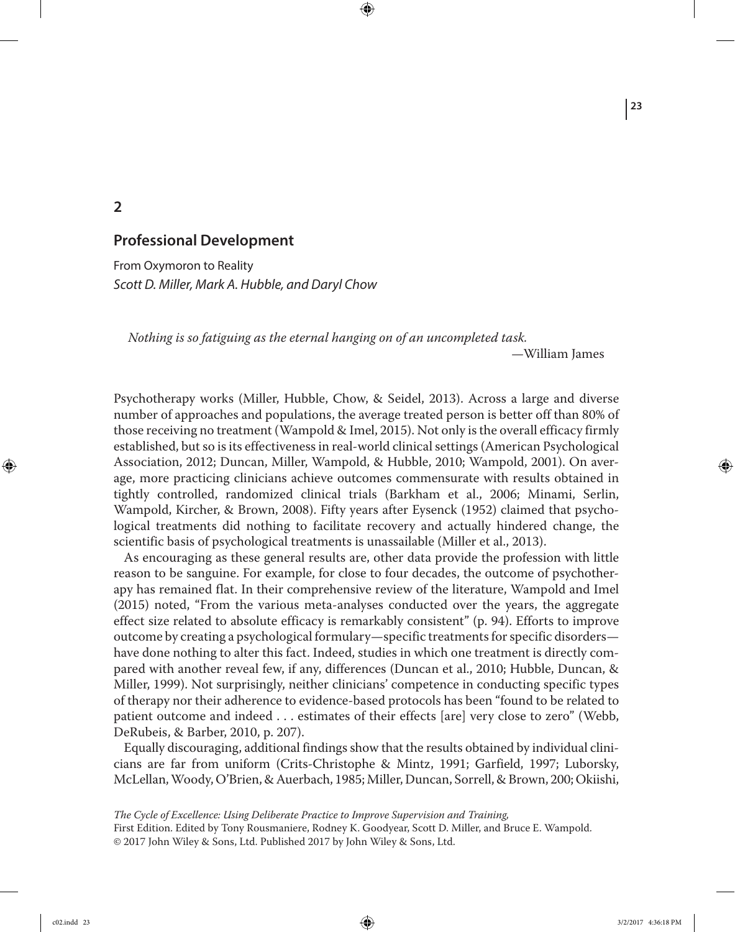**2**

From Oxymoron to Reality *Scott D. Miller, Mark A. Hubble, and Daryl Chow*

*Nothing is so fatiguing as the eternal hanging on of an uncompleted task.* —William James

 $\bigoplus$ 

Psychotherapy works (Miller, Hubble, Chow, & Seidel, 2013). Across a large and diverse number of approaches and populations, the average treated person is better off than 80% of those receiving no treatment (Wampold & Imel, 2015). Not only is the overall efficacy firmly established, but so is its effectiveness in real‐world clinical settings (American Psychological Association, 2012; Duncan, Miller, Wampold, & Hubble, 2010; Wampold, 2001). On average, more practicing clinicians achieve outcomes commensurate with results obtained in tightly controlled, randomized clinical trials (Barkham et al., 2006; Minami, Serlin, Wampold, Kircher, & Brown, 2008). Fifty years after Eysenck (1952) claimed that psychological treatments did nothing to facilitate recovery and actually hindered change, the scientific basis of psychological treatments is unassailable (Miller et al., 2013).

As encouraging as these general results are, other data provide the profession with little reason to be sanguine. For example, for close to four decades, the outcome of psychotherapy has remained flat. In their comprehensive review of the literature, Wampold and Imel (2015) noted, "From the various meta‐analyses conducted over the years, the aggregate effect size related to absolute efficacy is remarkably consistent" (p. 94). Efforts to improve outcome by creating a psychological formulary—specific treatments for specific disorders have done nothing to alter this fact. Indeed, studies in which one treatment is directly compared with another reveal few, if any, differences (Duncan et al., 2010; Hubble, Duncan, & Miller, 1999). Not surprisingly, neither clinicians' competence in conducting specific types of therapy nor their adherence to evidence‐based protocols has been "found to be related to patient outcome and indeed . . . estimates of their effects [are] very close to zero" (Webb, DeRubeis, & Barber, 2010, p. 207).

Equally discouraging, additional findings show that the results obtained by individual clinicians are far from uniform (Crits‐Christophe & Mintz, 1991; Garfield, 1997; Luborsky, McLellan, Woody, O'Brien, & Auerbach, 1985; Miller, Duncan, Sorrell, & Brown, 200; Okiishi,

*The Cycle of Excellence: Using Deliberate Practice to Improve Supervision and Training,*  First Edition. Edited by Tony Rousmaniere, Rodney K. Goodyear, Scott D. Miller, and Bruce E. Wampold. © 2017 John Wiley & Sons, Ltd. Published 2017 by John Wiley & Sons, Ltd.

⊕

**23**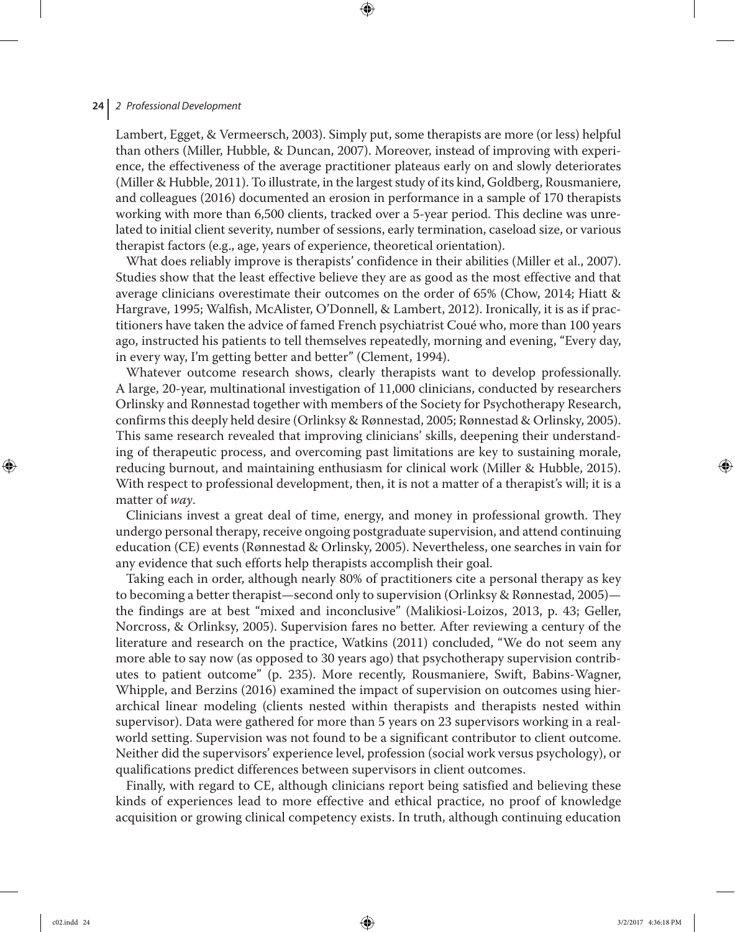Lambert, Egget, & Vermeersch, 2003). Simply put, some therapists are more (or less) helpful than others (Miller, Hubble, & Duncan, 2007). Moreover, instead of improving with experience, the effectiveness of the average practitioner plateaus early on and slowly deteriorates (Miller & Hubble, 2011). To illustrate, in the largest study of its kind, Goldberg, Rousmaniere, and colleagues (2016) documented an erosion in performance in a sample of 170 therapists working with more than 6,500 clients, tracked over a 5-year period. This decline was unrelated to initial client severity, number of sessions, early termination, caseload size, or various therapist factors (e.g., age, years of experience, theoretical orientation).

 $\bigcirc$ 

What does reliably improve is therapists' confidence in their abilities (Miller et al., 2007). Studies show that the least effective believe they are as good as the most effective and that average clinicians overestimate their outcomes on the order of 65% (Chow, 2014; Hiatt & Hargrave, 1995; Walfish, McAlister, O'Donnell, & Lambert, 2012). Ironically, it is as if practitioners have taken the advice of famed French psychiatrist Coué who, more than 100 years ago, instructed his patients to tell themselves repeatedly, morning and evening, "Every day, in every way, I'm getting better and better" (Clement, 1994).

Whatever outcome research shows, clearly therapists want to develop professionally. A large, 20‐year, multinational investigation of 11,000 clinicians, conducted by researchers Orlinsky and Rønnestad together with members of the Society for Psychotherapy Research, confirms this deeply held desire (Orlinksy & Rønnestad, 2005; Rønnestad & Orlinsky, 2005). This same research revealed that improving clinicians' skills, deepening their understanding of therapeutic process, and overcoming past limitations are key to sustaining morale, reducing burnout, and maintaining enthusiasm for clinical work (Miller & Hubble, 2015). With respect to professional development, then, it is not a matter of a therapist's will; it is a matter of *way*.

Clinicians invest a great deal of time, energy, and money in professional growth. They undergo personal therapy, receive ongoing postgraduate supervision, and attend continuing education (CE) events (Rønnestad & Orlinsky, 2005). Nevertheless, one searches in vain for any evidence that such efforts help therapists accomplish their goal.

Taking each in order, although nearly 80% of practitioners cite a personal therapy as key to becoming a better therapist—second only to supervision (Orlinksy & Rønnestad, 2005) the findings are at best "mixed and inconclusive" (Malikiosi‐Loizos, 2013, p. 43; Geller, Norcross, & Orlinksy, 2005). Supervision fares no better. After reviewing a century of the literature and research on the practice, Watkins (2011) concluded, "We do not seem any more able to say now (as opposed to 30 years ago) that psychotherapy supervision contributes to patient outcome" (p. 235). More recently, Rousmaniere, Swift, Babins‐Wagner, Whipple, and Berzins (2016) examined the impact of supervision on outcomes using hierarchical linear modeling (clients nested within therapists and therapists nested within supervisor). Data were gathered for more than 5 years on 23 supervisors working in a realworld setting. Supervision was not found to be a significant contributor to client outcome. Neither did the supervisors' experience level, profession (social work versus psychology), or qualifications predict differences between supervisors in client outcomes.

Finally, with regard to CE, although clinicians report being satisfied and believing these kinds of experiences lead to more effective and ethical practice, no proof of knowledge acquisition or growing clinical competency exists. In truth, although continuing education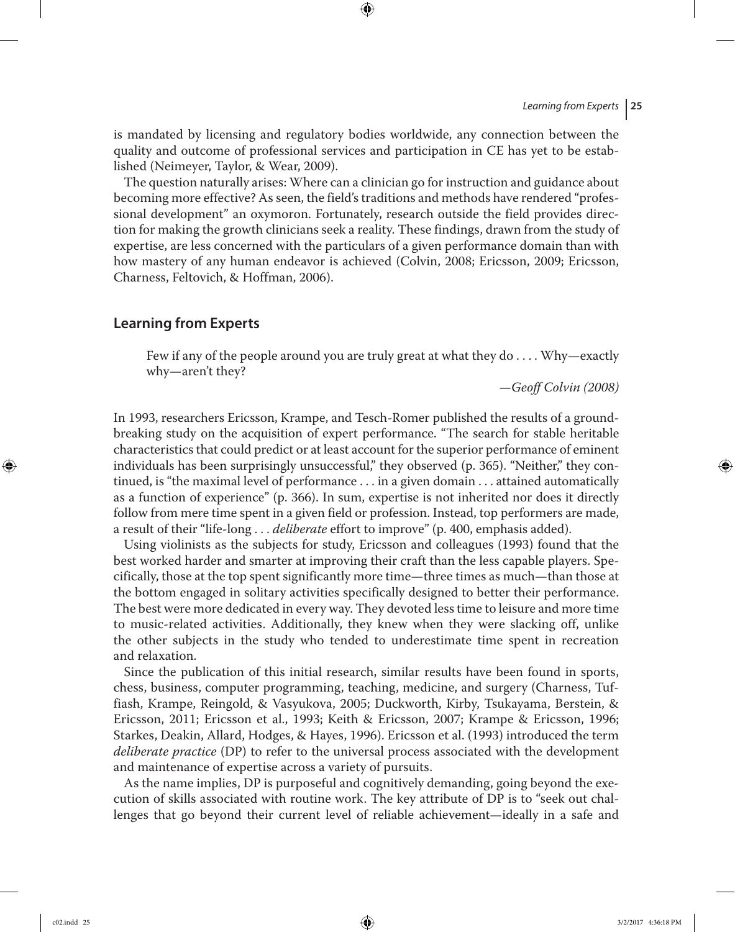### *Learning from Experts* **25**

is mandated by licensing and regulatory bodies worldwide, any connection between the quality and outcome of professional services and participation in CE has yet to be established (Neimeyer, Taylor, & Wear, 2009).

 $\bigcirc$ 

The question naturally arises: Where can a clinician go for instruction and guidance about becoming more effective? As seen, the field's traditions and methods have rendered "professional development" an oxymoron. Fortunately, research outside the field provides direction for making the growth clinicians seek a reality. These findings, drawn from the study of expertise, are less concerned with the particulars of a given performance domain than with how mastery of any human endeavor is achieved (Colvin, 2008; Ericsson, 2009; Ericsson, Charness, Feltovich, & Hoffman, 2006).

# **Learning from Experts**

Few if any of the people around you are truly great at what they do ... . Why—exactly why—aren't they?

*—Geoff Colvin (2008)*

In 1993, researchers Ericsson, Krampe, and Tesch‐Romer published the results of a groundbreaking study on the acquisition of expert performance. "The search for stable heritable characteristics that could predict or at least account for the superior performance of eminent individuals has been surprisingly unsuccessful," they observed (p. 365). "Neither," they continued, is "the maximal level of performance . . . in a given domain . . . attained automatically as a function of experience" (p. 366). In sum, expertise is not inherited nor does it directly follow from mere time spent in a given field or profession. Instead, top performers are made, a result of their "life‐long . . . *deliberate* effort to improve" (p. 400, emphasis added).

Using violinists as the subjects for study, Ericsson and colleagues (1993) found that the best worked harder and smarter at improving their craft than the less capable players. Specifically, those at the top spent significantly more time—three times as much—than those at the bottom engaged in solitary activities specifically designed to better their performance. The best were more dedicated in every way. They devoted less time to leisure and more time to music-related activities. Additionally, they knew when they were slacking off, unlike the other subjects in the study who tended to underestimate time spent in recreation and relaxation.

Since the publication of this initial research, similar results have been found in sports, chess, business, computer programming, teaching, medicine, and surgery (Charness, Tuffiash, Krampe, Reingold, & Vasyukova, 2005; Duckworth, Kirby, Tsukayama, Berstein, & Ericsson, 2011; Ericsson et al., 1993; Keith & Ericsson, 2007; Krampe & Ericsson, 1996; Starkes, Deakin, Allard, Hodges, & Hayes, 1996). Ericsson et al. (1993) introduced the term *deliberate practice* (DP) to refer to the universal process associated with the development and maintenance of expertise across a variety of pursuits.

As the name implies, DP is purposeful and cognitively demanding, going beyond the execution of skills associated with routine work. The key attribute of DP is to "seek out challenges that go beyond their current level of reliable achievement—ideally in a safe and

⊕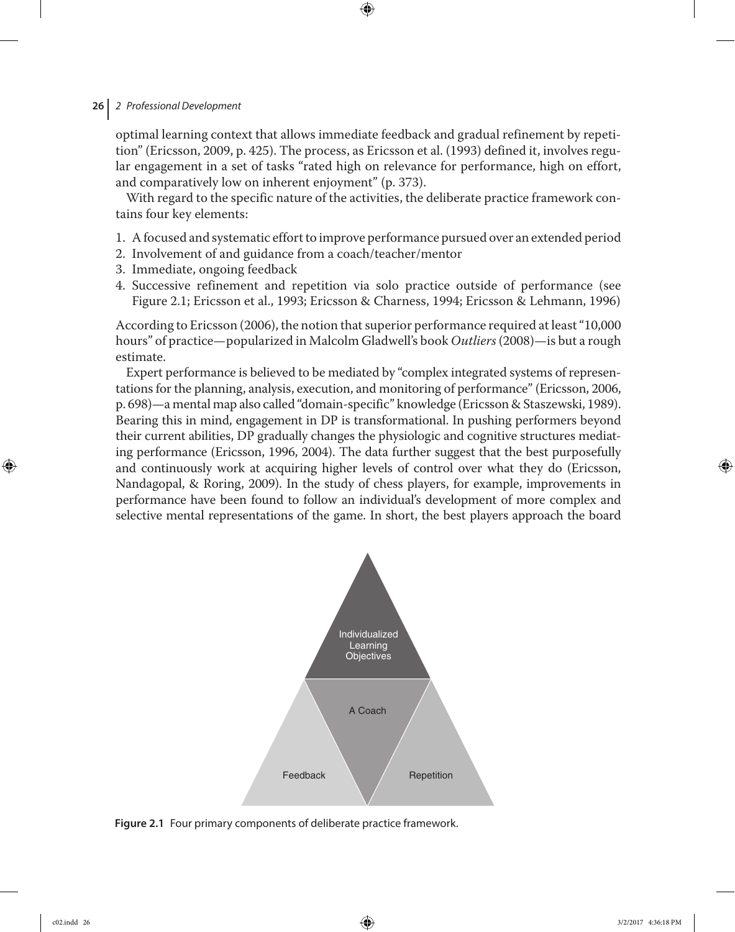optimal learning context that allows immediate feedback and gradual refinement by repetition" (Ericsson, 2009, p. 425). The process, as Ericsson et al. (1993) defined it, involves regular engagement in a set of tasks "rated high on relevance for performance, high on effort, and comparatively low on inherent enjoyment" (p. 373).

 $\bigoplus$ 

With regard to the specific nature of the activities, the deliberate practice framework contains four key elements:

- 1. A focused and systematic effort to improve performance pursued over an extended period
- 2. Involvement of and guidance from a coach/teacher/mentor
- 3. Immediate, ongoing feedback
- 4. Successive refinement and repetition via solo practice outside of performance (see Figure 2.1; Ericsson et al., 1993; Ericsson & Charness, 1994; Ericsson & Lehmann, 1996)

According to Ericsson (2006), the notion that superior performance required at least "10,000 hours" of practice—popularized in Malcolm Gladwell's book *Outliers* (2008)—is but a rough estimate.

Expert performance is believed to be mediated by "complex integrated systems of representations for the planning, analysis, execution, and monitoring of performance" (Ericsson, 2006, p. 698)—a mental map also called "domain‐specific" knowledge (Ericsson & Staszewski, 1989). Bearing this in mind, engagement in DP is transformational. In pushing performers beyond their current abilities, DP gradually changes the physiologic and cognitive structures mediating performance (Ericsson, 1996, 2004). The data further suggest that the best purposefully and continuously work at acquiring higher levels of control over what they do (Ericsson, Nandagopal, & Roring, 2009). In the study of chess players, for example, improvements in performance have been found to follow an individual's development of more complex and selective mental representations of the game. In short, the best players approach the board



**Figure 2.1** Four primary components of deliberate practice framework.

⊕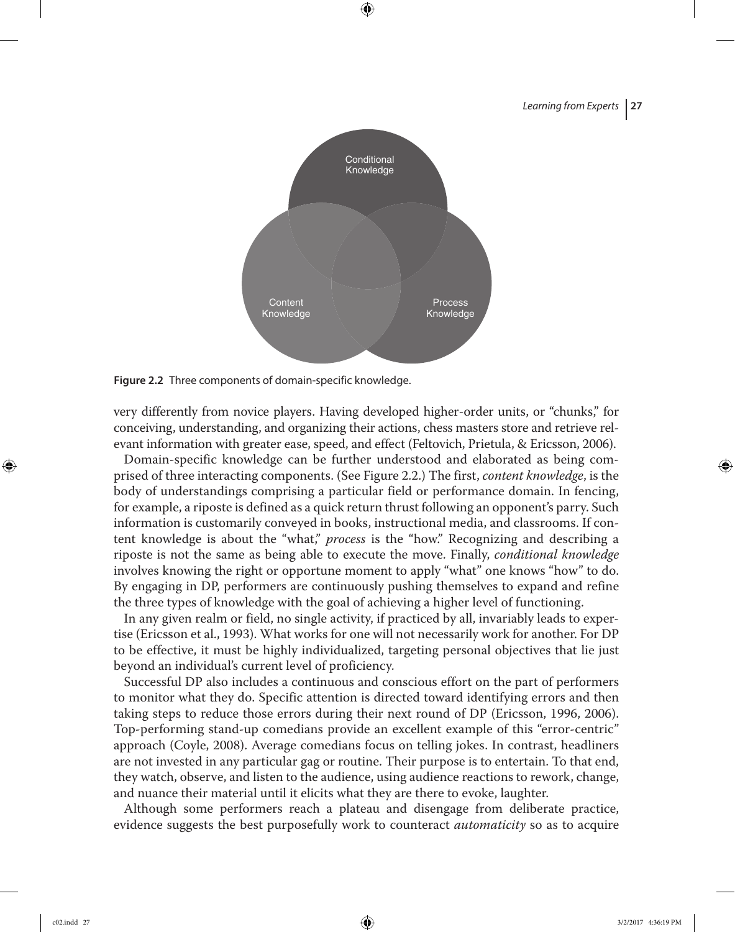### *Learning from Experts* **27**



 $\bigoplus$ 

**Figure 2.2** Three components of domain‐specific knowledge.

very differently from novice players. Having developed higher‐order units, or "chunks," for conceiving, understanding, and organizing their actions, chess masters store and retrieve relevant information with greater ease, speed, and effect (Feltovich, Prietula, & Ericsson, 2006).

Domain‐specific knowledge can be further understood and elaborated as being comprised of three interacting components. (See Figure 2.2.) The first, *content knowledge*, is the body of understandings comprising a particular field or performance domain. In fencing, for example, a riposte is defined as a quick return thrust following an opponent's parry. Such information is customarily conveyed in books, instructional media, and classrooms. If content knowledge is about the "what," *process* is the "how." Recognizing and describing a riposte is not the same as being able to execute the move. Finally, *conditional knowledge* involves knowing the right or opportune moment to apply "what" one knows "how" to do. By engaging in DP, performers are continuously pushing themselves to expand and refine the three types of knowledge with the goal of achieving a higher level of functioning.

In any given realm or field, no single activity, if practiced by all, invariably leads to expertise (Ericsson et al., 1993). What works for one will not necessarily work for another. For DP to be effective, it must be highly individualized, targeting personal objectives that lie just beyond an individual's current level of proficiency.

Successful DP also includes a continuous and conscious effort on the part of performers to monitor what they do. Specific attention is directed toward identifying errors and then taking steps to reduce those errors during their next round of DP (Ericsson, 1996, 2006). Top‐performing stand‐up comedians provide an excellent example of this "error‐centric" approach (Coyle, 2008). Average comedians focus on telling jokes. In contrast, headliners are not invested in any particular gag or routine. Their purpose is to entertain. To that end, they watch, observe, and listen to the audience, using audience reactions to rework, change, and nuance their material until it elicits what they are there to evoke, laughter.

Although some performers reach a plateau and disengage from deliberate practice, evidence suggests the best purposefully work to counteract *automaticity* so as to acquire

⊕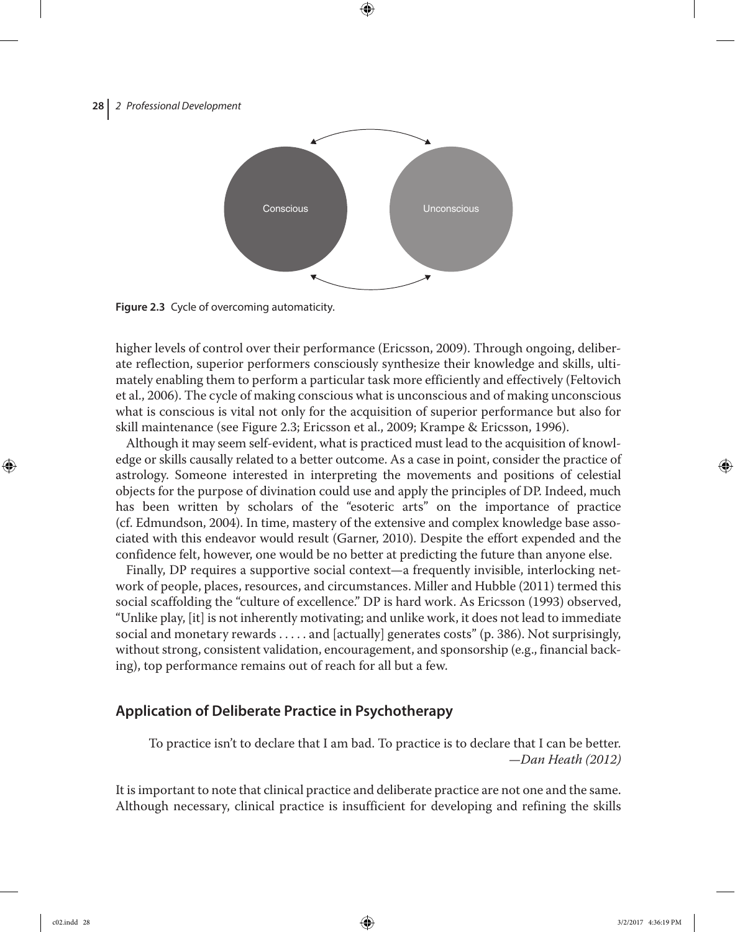

 $\bigoplus$ 

**Figure 2.3** Cycle of overcoming automaticity.

higher levels of control over their performance (Ericsson, 2009). Through ongoing, deliberate reflection, superior performers consciously synthesize their knowledge and skills, ultimately enabling them to perform a particular task more efficiently and effectively (Feltovich et al., 2006). The cycle of making conscious what is unconscious and of making unconscious what is conscious is vital not only for the acquisition of superior performance but also for skill maintenance (see Figure 2.3; Ericsson et al., 2009; Krampe & Ericsson, 1996).

Although it may seem self‐evident, what is practiced must lead to the acquisition of knowledge or skills causally related to a better outcome. As a case in point, consider the practice of astrology. Someone interested in interpreting the movements and positions of celestial objects for the purpose of divination could use and apply the principles of DP. Indeed, much has been written by scholars of the "esoteric arts" on the importance of practice (cf. Edmundson, 2004). In time, mastery of the extensive and complex knowledge base associated with this endeavor would result (Garner, 2010). Despite the effort expended and the confidence felt, however, one would be no better at predicting the future than anyone else.

Finally, DP requires a supportive social context—a frequently invisible, interlocking network of people, places, resources, and circumstances. Miller and Hubble (2011) termed this social scaffolding the "culture of excellence." DP is hard work. As Ericsson (1993) observed, "Unlike play, [it] is not inherently motivating; and unlike work, it does not lead to immediate social and monetary rewards . . . . . and [actually] generates costs" (p. 386). Not surprisingly, without strong, consistent validation, encouragement, and sponsorship (e.g., financial backing), top performance remains out of reach for all but a few.

### **Application of Deliberate Practice in Psychotherapy**

To practice isn't to declare that I am bad. To practice is to declare that I can be better. *—Dan Heath (2012)*

It is important to note that clinical practice and deliberate practice are not one and the same. Although necessary, clinical practice is insufficient for developing and refining the skills

⊕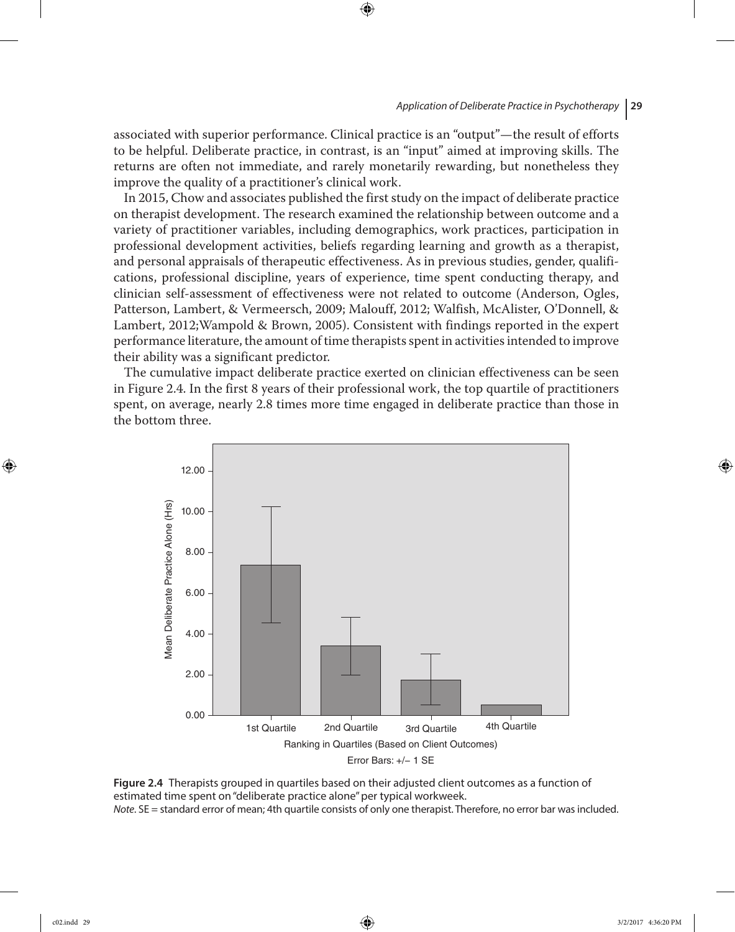### *Application of Deliberate Practice in Psychotherapy* **29**

associated with superior performance. Clinical practice is an "output"—the result of efforts to be helpful. Deliberate practice, in contrast, is an "input" aimed at improving skills. The returns are often not immediate, and rarely monetarily rewarding, but nonetheless they improve the quality of a practitioner's clinical work.

 $\bigoplus$ 

In 2015, Chow and associates published the first study on the impact of deliberate practice on therapist development. The research examined the relationship between outcome and a variety of practitioner variables, including demographics, work practices, participation in professional development activities, beliefs regarding learning and growth as a therapist, and personal appraisals of therapeutic effectiveness. As in previous studies, gender, qualifications, professional discipline, years of experience, time spent conducting therapy, and clinician self‐assessment of effectiveness were not related to outcome (Anderson, Ogles, Patterson, Lambert, & Vermeersch, 2009; Malouff, 2012; Walfish, McAlister, O'Donnell, & Lambert, 2012;Wampold & Brown, 2005). Consistent with findings reported in the expert performance literature, the amount of time therapists spent in activities intended to improve their ability was a significant predictor.

The cumulative impact deliberate practice exerted on clinician effectiveness can be seen in Figure 2.4. In the first 8 years of their professional work, the top quartile of practitioners spent, on average, nearly 2.8 times more time engaged in deliberate practice than those in the bottom three.





⊕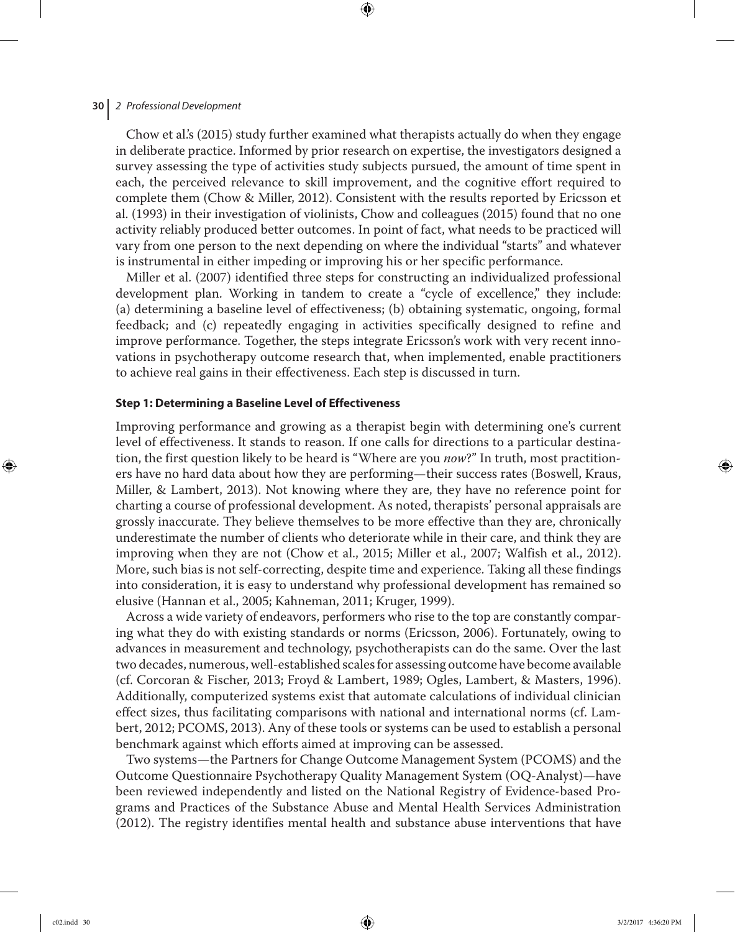Chow et al.'s (2015) study further examined what therapists actually do when they engage in deliberate practice. Informed by prior research on expertise, the investigators designed a survey assessing the type of activities study subjects pursued, the amount of time spent in each, the perceived relevance to skill improvement, and the cognitive effort required to complete them (Chow & Miller, 2012). Consistent with the results reported by Ericsson et al. (1993) in their investigation of violinists, Chow and colleagues (2015) found that no one activity reliably produced better outcomes. In point of fact, what needs to be practiced will vary from one person to the next depending on where the individual "starts" and whatever is instrumental in either impeding or improving his or her specific performance.

 $\bigcirc$ 

Miller et al. (2007) identified three steps for constructing an individualized professional development plan. Working in tandem to create a "cycle of excellence," they include: (a) determining a baseline level of effectiveness; (b) obtaining systematic, ongoing, formal feedback; and (c) repeatedly engaging in activities specifically designed to refine and improve performance. Together, the steps integrate Ericsson's work with very recent innovations in psychotherapy outcome research that, when implemented, enable practitioners to achieve real gains in their effectiveness. Each step is discussed in turn.

#### **Step 1: Determining a Baseline Level of Effectiveness**

Improving performance and growing as a therapist begin with determining one's current level of effectiveness. It stands to reason. If one calls for directions to a particular destination, the first question likely to be heard is "Where are you *now*?" In truth, most practitioners have no hard data about how they are performing—their success rates (Boswell, Kraus, Miller, & Lambert, 2013). Not knowing where they are, they have no reference point for charting a course of professional development. As noted, therapists' personal appraisals are grossly inaccurate. They believe themselves to be more effective than they are, chronically underestimate the number of clients who deteriorate while in their care, and think they are improving when they are not (Chow et al., 2015; Miller et al., 2007; Walfish et al., 2012). More, such bias is not self‐correcting, despite time and experience. Taking all these findings into consideration, it is easy to understand why professional development has remained so elusive (Hannan et al., 2005; Kahneman, 2011; Kruger, 1999).

Across a wide variety of endeavors, performers who rise to the top are constantly comparing what they do with existing standards or norms (Ericsson, 2006). Fortunately, owing to advances in measurement and technology, psychotherapists can do the same. Over the last two decades, numerous, well‐established scales for assessing outcome have become available (cf. Corcoran & Fischer, 2013; Froyd & Lambert, 1989; Ogles, Lambert, & Masters, 1996). Additionally, computerized systems exist that automate calculations of individual clinician effect sizes, thus facilitating comparisons with national and international norms (cf. Lambert, 2012; PCOMS, 2013). Any of these tools or systems can be used to establish a personal benchmark against which efforts aimed at improving can be assessed.

Two systems—the Partners for Change Outcome Management System (PCOMS) and the Outcome Questionnaire Psychotherapy Quality Management System (OQ‐Analyst)—have been reviewed independently and listed on the National Registry of Evidence-based Programs and Practices of the Substance Abuse and Mental Health Services Administration (2012). The registry identifies mental health and substance abuse interventions that have

⊕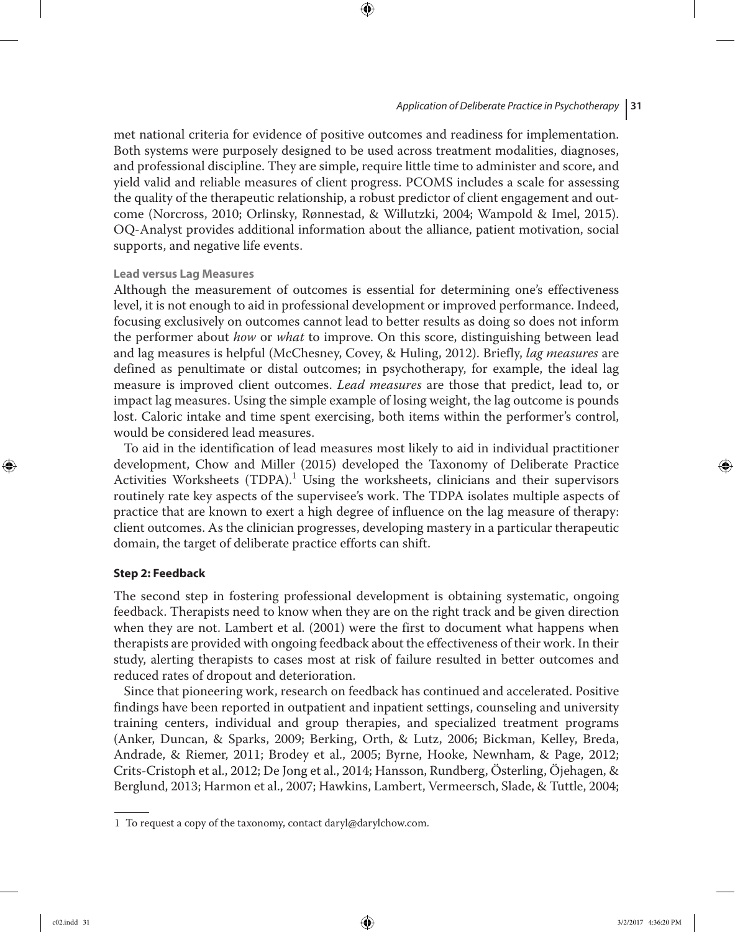### *Application of Deliberate Practice in Psychotherapy* **31**

met national criteria for evidence of positive outcomes and readiness for implementation. Both systems were purposely designed to be used across treatment modalities, diagnoses, and professional discipline. They are simple, require little time to administer and score, and yield valid and reliable measures of client progress. PCOMS includes a scale for assessing the quality of the therapeutic relationship, a robust predictor of client engagement and outcome (Norcross, 2010; Orlinsky, Rønnestad, & Willutzki, 2004; Wampold & Imel, 2015). OQ‐Analyst provides additional information about the alliance, patient motivation, social supports, and negative life events.

 $\bigcirc$ 

### **Lead versus Lag Measures**

Although the measurement of outcomes is essential for determining one's effectiveness level, it is not enough to aid in professional development or improved performance. Indeed, focusing exclusively on outcomes cannot lead to better results as doing so does not inform the performer about *how* or *what* to improve. On this score, distinguishing between lead and lag measures is helpful (McChesney, Covey, & Huling, 2012). Briefly, *lag measures* are defined as penultimate or distal outcomes; in psychotherapy, for example, the ideal lag measure is improved client outcomes. *Lead measures* are those that predict, lead to, or impact lag measures. Using the simple example of losing weight, the lag outcome is pounds lost. Caloric intake and time spent exercising, both items within the performer's control, would be considered lead measures.

To aid in the identification of lead measures most likely to aid in individual practitioner development, Chow and Miller (2015) developed the Taxonomy of Deliberate Practice Activities Worksheets  $(TDPA)<sup>1</sup>$  Using the worksheets, clinicians and their supervisors routinely rate key aspects of the supervisee's work. The TDPA isolates multiple aspects of practice that are known to exert a high degree of influence on the lag measure of therapy: client outcomes. As the clinician progresses, developing mastery in a particular therapeutic domain, the target of deliberate practice efforts can shift.

### **Step 2: Feedback**

The second step in fostering professional development is obtaining systematic, ongoing feedback. Therapists need to know when they are on the right track and be given direction when they are not. Lambert et al. (2001) were the first to document what happens when therapists are provided with ongoing feedback about the effectiveness of their work. In their study, alerting therapists to cases most at risk of failure resulted in better outcomes and reduced rates of dropout and deterioration.

Since that pioneering work, research on feedback has continued and accelerated. Positive findings have been reported in outpatient and inpatient settings, counseling and university training centers, individual and group therapies, and specialized treatment programs (Anker, Duncan, & Sparks, 2009; Berking, Orth, & Lutz, 2006; Bickman, Kelley, Breda, Andrade, & Riemer, 2011; Brodey et al., 2005; Byrne, Hooke, Newnham, & Page, 2012; Crits‐Cristoph et al., 2012; De Jong et al., 2014; Hansson, Rundberg, Österling, Öjehagen, & Berglund, 2013; Harmon et al., 2007; Hawkins, Lambert, Vermeersch, Slade, & Tuttle, 2004;

<sup>1</sup> To request a copy of the taxonomy, contact daryl@darylchow.com.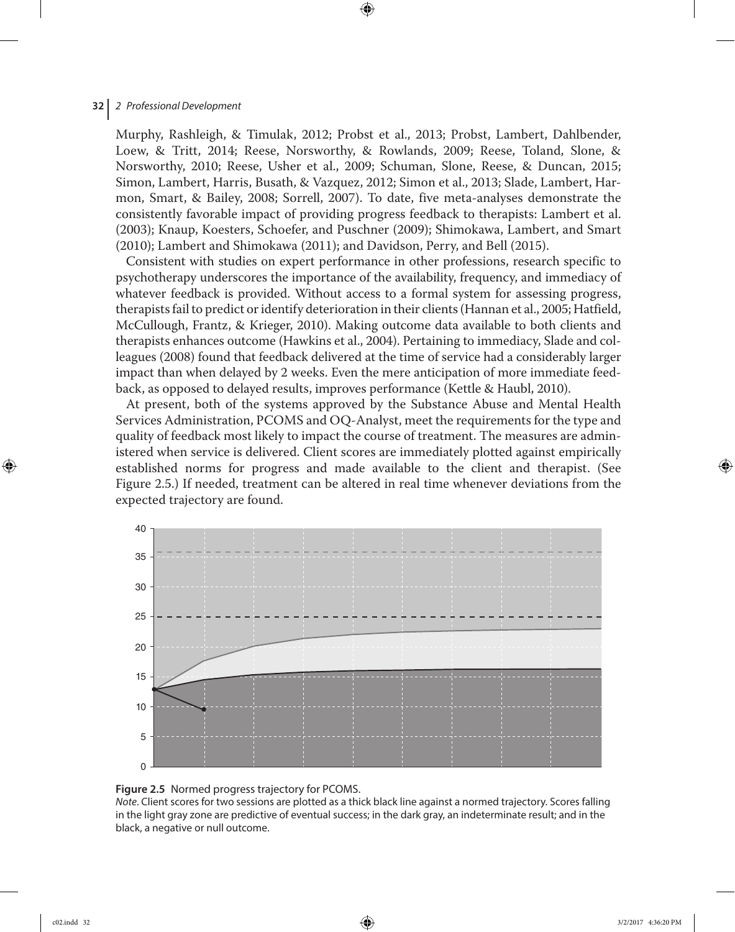Murphy, Rashleigh, & Timulak, 2012; Probst et al., 2013; Probst, Lambert, Dahlbender, Loew, & Tritt, 2014; Reese, Norsworthy, & Rowlands, 2009; Reese, Toland, Slone, & Norsworthy, 2010; Reese, Usher et al., 2009; Schuman, Slone, Reese, & Duncan, 2015; Simon, Lambert, Harris, Busath, & Vazquez, 2012; Simon et al., 2013; Slade, Lambert, Harmon, Smart, & Bailey, 2008; Sorrell, 2007). To date, five meta-analyses demonstrate the consistently favorable impact of providing progress feedback to therapists: Lambert et al. (2003); Knaup, Koesters, Schoefer, and Puschner (2009); Shimokawa, Lambert, and Smart (2010); Lambert and Shimokawa (2011); and Davidson, Perry, and Bell (2015).

 $\bigoplus$ 

Consistent with studies on expert performance in other professions, research specific to psychotherapy underscores the importance of the availability, frequency, and immediacy of whatever feedback is provided. Without access to a formal system for assessing progress, therapists fail to predict or identify deterioration in their clients (Hannan et al., 2005; Hatfield, McCullough, Frantz, & Krieger, 2010). Making outcome data available to both clients and therapists enhances outcome (Hawkins et al., 2004). Pertaining to immediacy, Slade and colleagues (2008) found that feedback delivered at the time of service had a considerably larger impact than when delayed by 2 weeks. Even the mere anticipation of more immediate feedback, as opposed to delayed results, improves performance (Kettle & Haubl, 2010).

At present, both of the systems approved by the Substance Abuse and Mental Health Services Administration, PCOMS and OQ‐Analyst, meet the requirements for the type and quality of feedback most likely to impact the course of treatment. The measures are administered when service is delivered. Client scores are immediately plotted against empirically established norms for progress and made available to the client and therapist. (See Figure 2.5.) If needed, treatment can be altered in real time whenever deviations from the expected trajectory are found.



**Figure 2.5** Normed progress trajectory for PCOMS. *Note*. Client scores for two sessions are plotted as a thick black line against a normed trajectory. Scores falling in the light gray zone are predictive of eventual success; in the dark gray, an indeterminate result; and in the black, a negative or null outcome.

⊕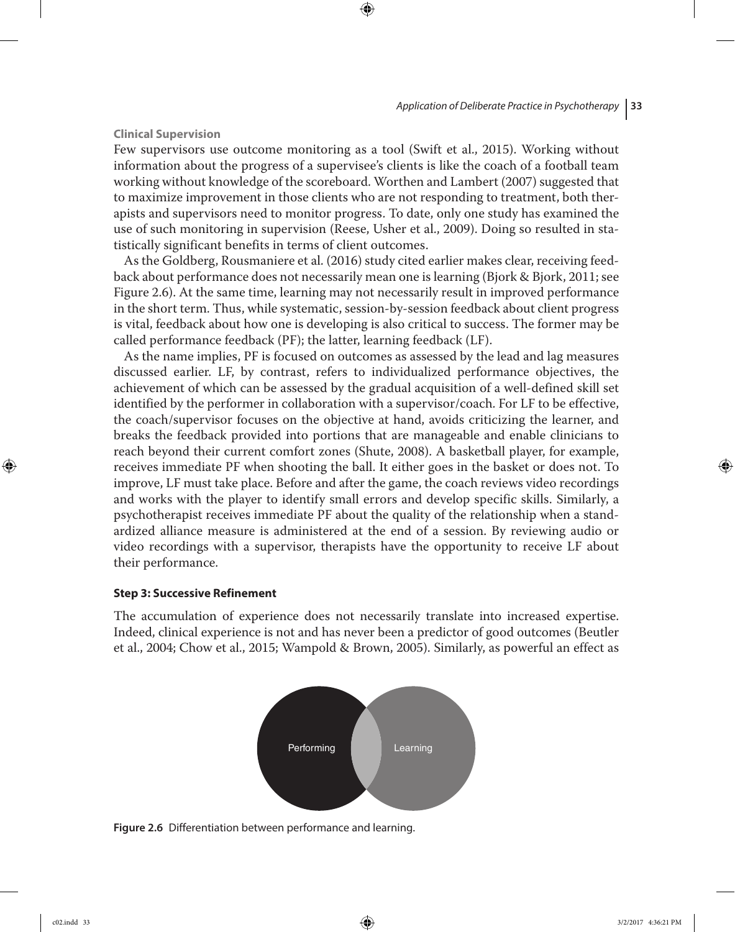### **Clinical Supervision**

Few supervisors use outcome monitoring as a tool (Swift et al., 2015). Working without information about the progress of a supervisee's clients is like the coach of a football team working without knowledge of the scoreboard. Worthen and Lambert (2007) suggested that to maximize improvement in those clients who are not responding to treatment, both therapists and supervisors need to monitor progress. To date, only one study has examined the use of such monitoring in supervision (Reese, Usher et al., 2009). Doing so resulted in statistically significant benefits in terms of client outcomes.

 $\bigoplus$ 

As the Goldberg, Rousmaniere et al. (2016) study cited earlier makes clear, receiving feedback about performance does not necessarily mean one is learning (Bjork & Bjork, 2011; see Figure 2.6). At the same time, learning may not necessarily result in improved performance in the short term. Thus, while systematic, session‐by‐session feedback about client progress is vital, feedback about how one is developing is also critical to success. The former may be called performance feedback (PF); the latter, learning feedback (LF).

As the name implies, PF is focused on outcomes as assessed by the lead and lag measures discussed earlier. LF, by contrast, refers to individualized performance objectives, the achievement of which can be assessed by the gradual acquisition of a well‐defined skill set identified by the performer in collaboration with a supervisor/coach. For LF to be effective, the coach/supervisor focuses on the objective at hand, avoids criticizing the learner, and breaks the feedback provided into portions that are manageable and enable clinicians to reach beyond their current comfort zones (Shute, 2008). A basketball player, for example, receives immediate PF when shooting the ball. It either goes in the basket or does not. To improve, LF must take place. Before and after the game, the coach reviews video recordings and works with the player to identify small errors and develop specific skills. Similarly, a psychotherapist receives immediate PF about the quality of the relationship when a standardized alliance measure is administered at the end of a session. By reviewing audio or video recordings with a supervisor, therapists have the opportunity to receive LF about their performance.

#### **Step 3: Successive Refinement**

The accumulation of experience does not necessarily translate into increased expertise. Indeed, clinical experience is not and has never been a predictor of good outcomes (Beutler et al., 2004; Chow et al., 2015; Wampold & Brown, 2005). Similarly, as powerful an effect as



**Figure 2.6** Differentiation between performance and learning.

⊕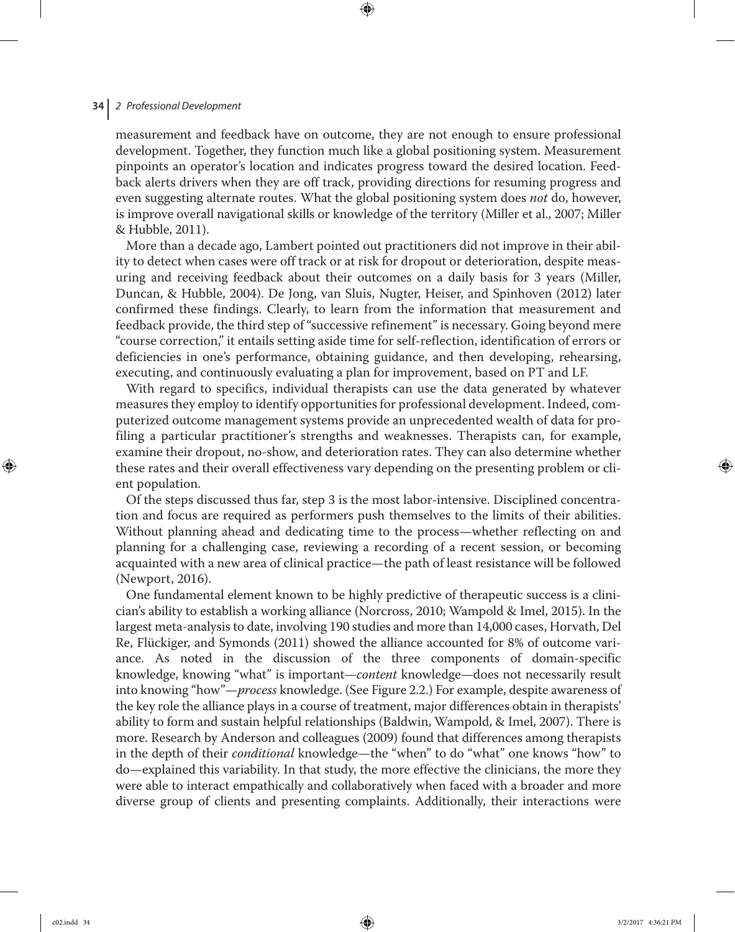measurement and feedback have on outcome, they are not enough to ensure professional development. Together, they function much like a global positioning system. Measurement pinpoints an operator's location and indicates progress toward the desired location. Feedback alerts drivers when they are off track, providing directions for resuming progress and even suggesting alternate routes. What the global positioning system does *not* do, however, is improve overall navigational skills or knowledge of the territory (Miller et al., 2007; Miller & Hubble, 2011).

 $\bigcirc$ 

More than a decade ago, Lambert pointed out practitioners did not improve in their ability to detect when cases were off track or at risk for dropout or deterioration, despite measuring and receiving feedback about their outcomes on a daily basis for 3 years (Miller, Duncan, & Hubble, 2004). De Jong, van Sluis, Nugter, Heiser, and Spinhoven (2012) later confirmed these findings. Clearly, to learn from the information that measurement and feedback provide, the third step of "successive refinement" is necessary. Going beyond mere "course correction," it entails setting aside time for self‐reflection, identification of errors or deficiencies in one's performance, obtaining guidance, and then developing, rehearsing, executing, and continuously evaluating a plan for improvement, based on PT and LF.

With regard to specifics, individual therapists can use the data generated by whatever measures they employ to identify opportunities for professional development. Indeed, computerized outcome management systems provide an unprecedented wealth of data for profiling a particular practitioner's strengths and weaknesses. Therapists can, for example, examine their dropout, no‐show, and deterioration rates. They can also determine whether these rates and their overall effectiveness vary depending on the presenting problem or client population.

Of the steps discussed thus far, step 3 is the most labor-intensive. Disciplined concentration and focus are required as performers push themselves to the limits of their abilities. Without planning ahead and dedicating time to the process—whether reflecting on and planning for a challenging case, reviewing a recording of a recent session, or becoming acquainted with a new area of clinical practice—the path of least resistance will be followed (Newport, 2016).

One fundamental element known to be highly predictive of therapeutic success is a clinician's ability to establish a working alliance (Norcross, 2010; Wampold & Imel, 2015). In the largest meta‐analysis to date, involving 190 studies and more than 14,000 cases, Horvath, Del Re, Flückiger, and Symonds (2011) showed the alliance accounted for 8% of outcome variance. As noted in the discussion of the three components of domain‐specific knowledge, knowing "what" is important—*content* knowledge—does not necessarily result into knowing "how"—*process* knowledge. (See Figure 2.2.) For example, despite awareness of the key role the alliance plays in a course of treatment, major differences obtain in therapists' ability to form and sustain helpful relationships (Baldwin, Wampold, & Imel, 2007). There is more. Research by Anderson and colleagues (2009) found that differences among therapists in the depth of their *conditional* knowledge—the "when" to do "what" one knows "how" to do—explained this variability. In that study, the more effective the clinicians, the more they were able to interact empathically and collaboratively when faced with a broader and more diverse group of clients and presenting complaints. Additionally, their interactions were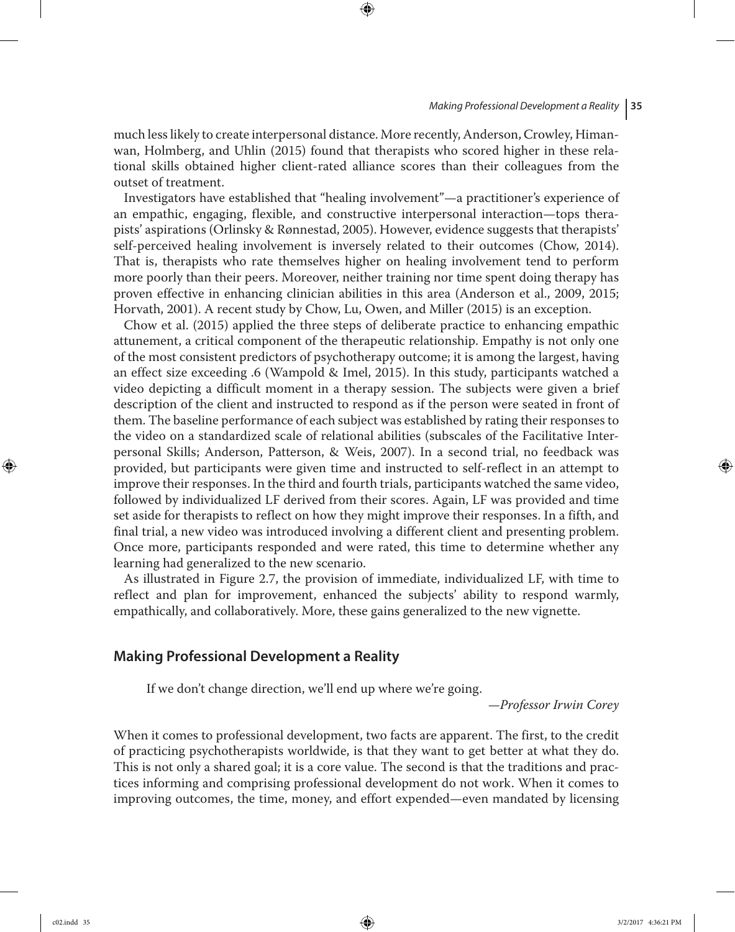### *Making Professional Development a Reality* **35**

much less likely to create interpersonal distance. More recently, Anderson, Crowley, Himanwan, Holmberg, and Uhlin (2015) found that therapists who scored higher in these relational skills obtained higher client‐rated alliance scores than their colleagues from the outset of treatment.

 $\bigcirc$ 

Investigators have established that "healing involvement"—a practitioner's experience of an empathic, engaging, flexible, and constructive interpersonal interaction—tops therapists' aspirations (Orlinsky & Rønnestad, 2005). However, evidence suggests that therapists' self-perceived healing involvement is inversely related to their outcomes (Chow, 2014). That is, therapists who rate themselves higher on healing involvement tend to perform more poorly than their peers. Moreover, neither training nor time spent doing therapy has proven effective in enhancing clinician abilities in this area (Anderson et al., 2009, 2015; Horvath, 2001). A recent study by Chow, Lu, Owen, and Miller (2015) is an exception.

Chow et al. (2015) applied the three steps of deliberate practice to enhancing empathic attunement, a critical component of the therapeutic relationship. Empathy is not only one of the most consistent predictors of psychotherapy outcome; it is among the largest, having an effect size exceeding .6 (Wampold & Imel, 2015). In this study, participants watched a video depicting a difficult moment in a therapy session. The subjects were given a brief description of the client and instructed to respond as if the person were seated in front of them. The baseline performance of each subject was established by rating their responses to the video on a standardized scale of relational abilities (subscales of the Facilitative Interpersonal Skills; Anderson, Patterson, & Weis, 2007). In a second trial, no feedback was provided, but participants were given time and instructed to self‐reflect in an attempt to improve their responses. In the third and fourth trials, participants watched the same video, followed by individualized LF derived from their scores. Again, LF was provided and time set aside for therapists to reflect on how they might improve their responses. In a fifth, and final trial, a new video was introduced involving a different client and presenting problem. Once more, participants responded and were rated, this time to determine whether any learning had generalized to the new scenario.

As illustrated in Figure 2.7, the provision of immediate, individualized LF, with time to reflect and plan for improvement, enhanced the subjects' ability to respond warmly, empathically, and collaboratively. More, these gains generalized to the new vignette.

## **Making Professional Development a Reality**

If we don't change direction, we'll end up where we're going.

*—Professor Irwin Corey*

When it comes to professional development, two facts are apparent. The first, to the credit of practicing psychotherapists worldwide, is that they want to get better at what they do. This is not only a shared goal; it is a core value. The second is that the traditions and practices informing and comprising professional development do not work. When it comes to improving outcomes, the time, money, and effort expended—even mandated by licensing

⊕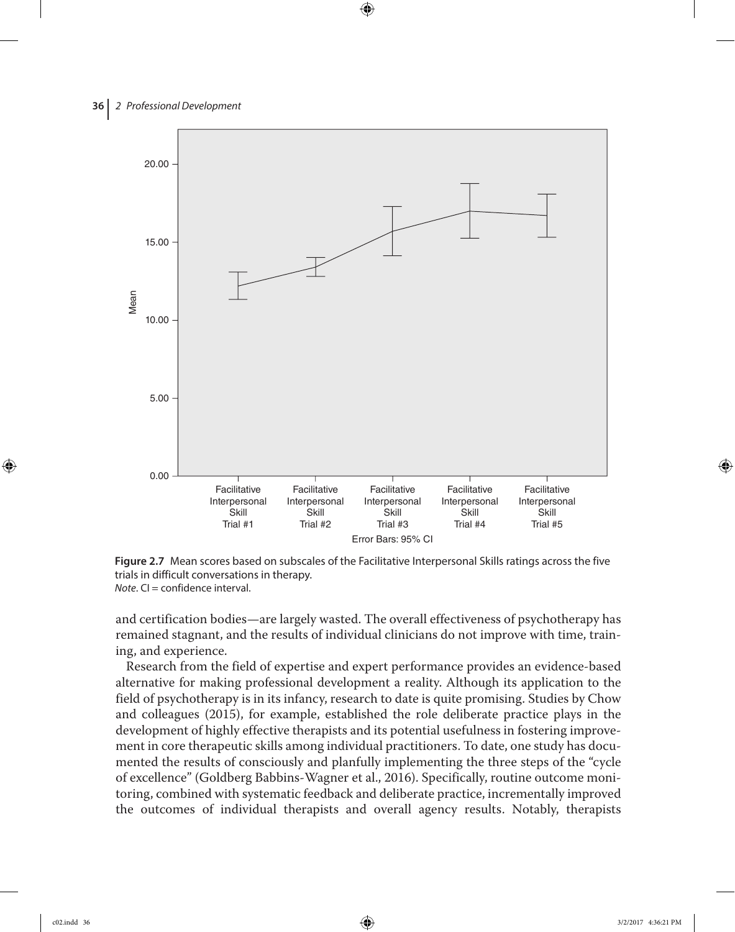

 $\bigoplus$ 

**Figure 2.7** Mean scores based on subscales of the Facilitative Interpersonal Skills ratings across the five trials in difficult conversations in therapy. *Note*. CI = confidence interval.

and certification bodies—are largely wasted. The overall effectiveness of psychotherapy has remained stagnant, and the results of individual clinicians do not improve with time, training, and experience.

Research from the field of expertise and expert performance provides an evidence‐based alternative for making professional development a reality. Although its application to the field of psychotherapy is in its infancy, research to date is quite promising. Studies by Chow and colleagues (2015), for example, established the role deliberate practice plays in the development of highly effective therapists and its potential usefulness in fostering improvement in core therapeutic skills among individual practitioners. To date, one study has documented the results of consciously and planfully implementing the three steps of the "cycle of excellence" (Goldberg Babbins‐Wagner et al., 2016). Specifically, routine outcome monitoring, combined with systematic feedback and deliberate practice, incrementally improved the outcomes of individual therapists and overall agency results. Notably, therapists

⊕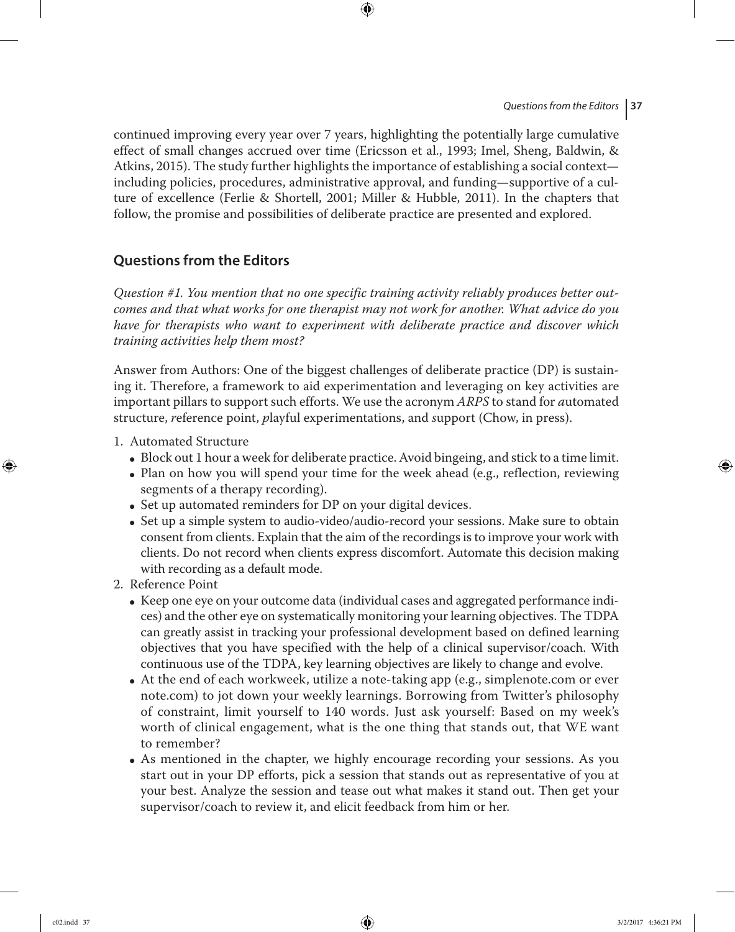## *Questions from the Editors* **37**

continued improving every year over 7 years, highlighting the potentially large cumulative effect of small changes accrued over time (Ericsson et al., 1993; Imel, Sheng, Baldwin, & Atkins, 2015). The study further highlights the importance of establishing a social context including policies, procedures, administrative approval, and funding—supportive of a culture of excellence (Ferlie & Shortell, 2001; Miller & Hubble, 2011). In the chapters that follow, the promise and possibilities of deliberate practice are presented and explored.

 $\bigcirc$ 

# **Questions from the Editors**

*Question #1. You mention that no one specific training activity reliably produces better outcomes and that what works for one therapist may not work for another. What advice do you have for therapists who want to experiment with deliberate practice and discover which training activities help them most?*

Answer from Authors: One of the biggest challenges of deliberate practice (DP) is sustaining it. Therefore, a framework to aid experimentation and leveraging on key activities are important pillars to support such efforts. We use the acronym *ARPS* to stand for *a*utomated structure, *r*eference point, *p*layful experimentations, and *s*upport (Chow, in press).

- 1. Automated Structure
	- Block out 1 hour a week for deliberate practice. Avoid bingeing, and stick to a time limit.
	- Plan on how you will spend your time for the week ahead (e.g., reflection, reviewing segments of a therapy recording).
	- Set up automated reminders for DP on your digital devices.
	- Set up a simple system to audio-video/audio-record your sessions. Make sure to obtain consent from clients. Explain that the aim of the recordings is to improve your work with clients. Do not record when clients express discomfort. Automate this decision making with recording as a default mode.
- 2. Reference Point
	- Keep one eye on your outcome data (individual cases and aggregated performance indices) and the other eye on systematically monitoring your learning objectives. The TDPA can greatly assist in tracking your professional development based on defined learning objectives that you have specified with the help of a clinical supervisor/coach. With continuous use of the TDPA, key learning objectives are likely to change and evolve.
	- At the end of each workweek, utilize a note-taking app (e.g., simplenote.com or ever note.com) to jot down your weekly learnings. Borrowing from Twitter's philosophy of constraint, limit yourself to 140 words. Just ask yourself: Based on my week's worth of clinical engagement, what is the one thing that stands out, that WE want to remember?
	- As mentioned in the chapter, we highly encourage recording your sessions. As you start out in your DP efforts, pick a session that stands out as representative of you at your best. Analyze the session and tease out what makes it stand out. Then get your supervisor/coach to review it, and elicit feedback from him or her.

⊕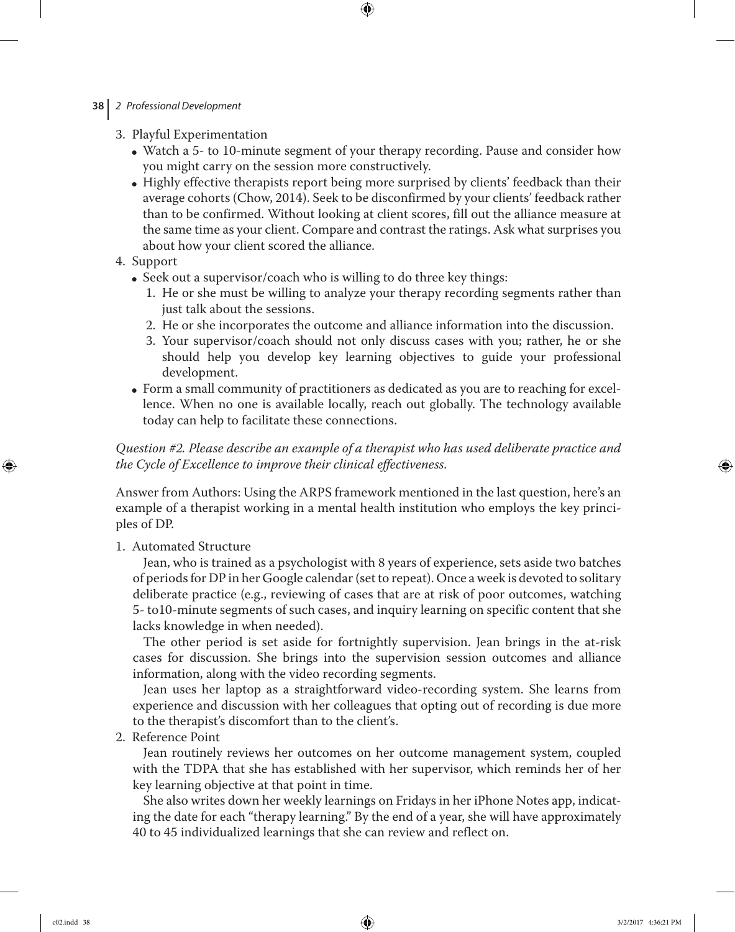- 3. Playful Experimentation
	- Watch a 5- to 10-minute segment of your therapy recording. Pause and consider how you might carry on the session more constructively.

 $\bigoplus$ 

- Highly effective therapists report being more surprised by clients' feedback than their average cohorts (Chow, 2014). Seek to be disconfirmed by your clients' feedback rather than to be confirmed. Without looking at client scores, fill out the alliance measure at the same time as your client. Compare and contrast the ratings. Ask what surprises you about how your client scored the alliance.
- 4. Support
	- Seek out a supervisor/coach who is willing to do three key things:
		- 1. He or she must be willing to analyze your therapy recording segments rather than just talk about the sessions.
		- 2. He or she incorporates the outcome and alliance information into the discussion.
		- 3. Your supervisor/coach should not only discuss cases with you; rather, he or she should help you develop key learning objectives to guide your professional development.
	- Form a small community of practitioners as dedicated as you are to reaching for excellence. When no one is available locally, reach out globally. The technology available today can help to facilitate these connections.

*Question #2. Please describe an example of a therapist who has used deliberate practice and the Cycle of Excellence to improve their clinical effectiveness*.

Answer from Authors: Using the ARPS framework mentioned in the last question, here's an example of a therapist working in a mental health institution who employs the key principles of DP.

1. Automated Structure

Jean, who is trained as a psychologist with 8 years of experience, sets aside two batches of periods for DP in her Google calendar (set to repeat). Once a week is devoted to solitary deliberate practice (e.g., reviewing of cases that are at risk of poor outcomes, watching 5‐ to10‐minute segments of such cases, and inquiry learning on specific content that she lacks knowledge in when needed).

The other period is set aside for fortnightly supervision. Jean brings in the at-risk cases for discussion. She brings into the supervision session outcomes and alliance information, along with the video recording segments.

Jean uses her laptop as a straightforward video-recording system. She learns from experience and discussion with her colleagues that opting out of recording is due more to the therapist's discomfort than to the client's.

2. Reference Point

Jean routinely reviews her outcomes on her outcome management system, coupled with the TDPA that she has established with her supervisor, which reminds her of her key learning objective at that point in time.

She also writes down her weekly learnings on Fridays in her iPhone Notes app, indicating the date for each "therapy learning." By the end of a year, she will have approximately 40 to 45 individualized learnings that she can review and reflect on.

⊕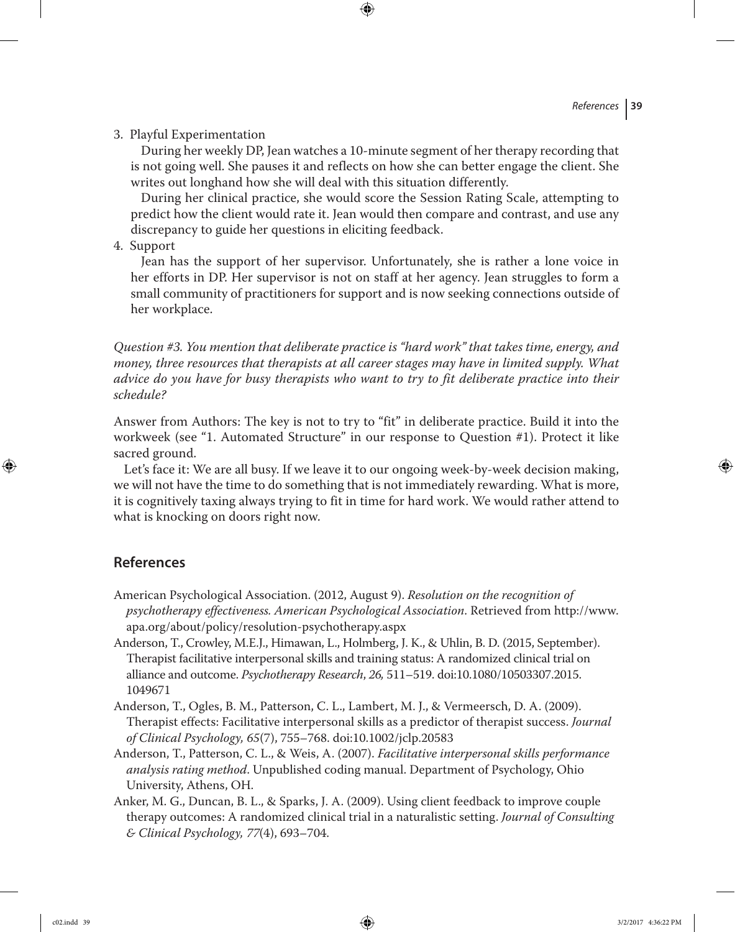### 3. Playful Experimentation

During her weekly DP, Jean watches a 10‐minute segment of her therapy recording that is not going well. She pauses it and reflects on how she can better engage the client. She writes out longhand how she will deal with this situation differently.

 $\bigcirc$ 

During her clinical practice, she would score the Session Rating Scale, attempting to predict how the client would rate it. Jean would then compare and contrast, and use any discrepancy to guide her questions in eliciting feedback.

4. Support

Jean has the support of her supervisor. Unfortunately, she is rather a lone voice in her efforts in DP. Her supervisor is not on staff at her agency. Jean struggles to form a small community of practitioners for support and is now seeking connections outside of her workplace.

*Question #3. You mention that deliberate practice is "hard work" that takes time, energy, and money, three resources that therapists at all career stages may have in limited supply. What advice do you have for busy therapists who want to try to fit deliberate practice into their schedule?*

Answer from Authors: The key is not to try to "fit" in deliberate practice. Build it into the workweek (see "1. Automated Structure" in our response to Question #1). Protect it like sacred ground.

Let's face it: We are all busy. If we leave it to our ongoing week-by-week decision making, we will not have the time to do something that is not immediately rewarding. What is more, it is cognitively taxing always trying to fit in time for hard work. We would rather attend to what is knocking on doors right now.

### **References**

- American Psychological Association. (2012, August 9). *Resolution on the recognition of psychotherapy effectiveness. American Psychological Association*. Retrieved from http://www. apa.org/about/policy/resolution‐psychotherapy.aspx
- Anderson, T., Crowley, M.E.J., Himawan, L., Holmberg, J. K., & Uhlin, B. D. (2015, September). Therapist facilitative interpersonal skills and training status: A randomized clinical trial on alliance and outcome. *Psychotherapy Research*, *26,* 511–519. doi:10.1080/10503307.2015. 1049671
- Anderson, T., Ogles, B. M., Patterson, C. L., Lambert, M. J., & Vermeersch, D. A. (2009). Therapist effects: Facilitative interpersonal skills as a predictor of therapist success. *Journal of Clinical Psychology, 65*(7), 755–768. doi:10.1002/jclp.20583
- Anderson, T., Patterson, C. L., & Weis, A. (2007). *Facilitative interpersonal skills performance analysis rating method*. Unpublished coding manual. Department of Psychology, Ohio University, Athens, OH.
- Anker, M. G., Duncan, B. L., & Sparks, J. A. (2009). Using client feedback to improve couple therapy outcomes: A randomized clinical trial in a naturalistic setting. *Journal of Consulting & Clinical Psychology, 77*(4), 693–704.

⊕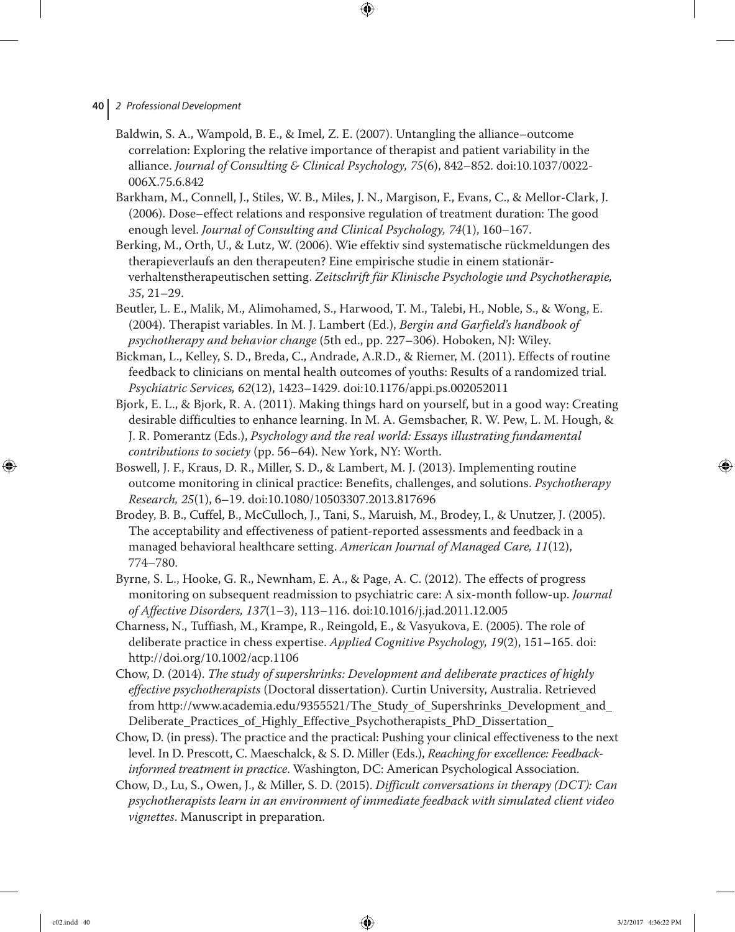**40** *2 Professional Development*

Baldwin, S. A., Wampold, B. E., & Imel, Z. E. (2007). Untangling the alliance–outcome correlation: Exploring the relative importance of therapist and patient variability in the alliance. *Journal of Consulting & Clinical Psychology, 75*(6), 842–852. doi:10.1037/0022- 006X.75.6.842

 $\bigcirc$ 

- Barkham, M., Connell, J., Stiles, W. B., Miles, J. N., Margison, F., Evans, C., & Mellor‐Clark, J. (2006). Dose–effect relations and responsive regulation of treatment duration: The good enough level. *Journal of Consulting and Clinical Psychology, 74*(1), 160–167.
- Berking, M., Orth, U., & Lutz, W. (2006). Wie effektiv sind systematische rückmeldungen des therapieverlaufs an den therapeuten? Eine empirische studie in einem stationär‐ verhaltenstherapeutischen setting. *Zeitschrift für Klinische Psychologie und Psychotherapie, 35*, 21–29.
- Beutler, L. E., Malik, M., Alimohamed, S., Harwood, T. M., Talebi, H., Noble, S., & Wong, E. (2004). Therapist variables. In M. J. Lambert (Ed.), *Bergin and Garfield's handbook of psychotherapy and behavior change* (5th ed., pp. 227–306). Hoboken, NJ: Wiley.
- Bickman, L., Kelley, S. D., Breda, C., Andrade, A.R.D., & Riemer, M. (2011). Effects of routine feedback to clinicians on mental health outcomes of youths: Results of a randomized trial. *Psychiatric Services, 62*(12), 1423–1429. doi:10.1176/appi.ps.002052011
- Bjork, E. L., & Bjork, R. A. (2011). Making things hard on yourself, but in a good way: Creating desirable difficulties to enhance learning. In M. A. Gemsbacher, R. W. Pew, L. M. Hough, & J. R. Pomerantz (Eds.), *Psychology and the real world: Essays illustrating fundamental contributions to society* (pp. 56–64). New York, NY: Worth.
- Boswell, J. F., Kraus, D. R., Miller, S. D., & Lambert, M. J. (2013). Implementing routine outcome monitoring in clinical practice: Benefits, challenges, and solutions. *Psychotherapy Research, 25*(1), 6–19. doi:10.1080/10503307.2013.817696
- Brodey, B. B., Cuffel, B., McCulloch, J., Tani, S., Maruish, M., Brodey, I., & Unutzer, J. (2005). The acceptability and effectiveness of patient‐reported assessments and feedback in a managed behavioral healthcare setting. *American Journal of Managed Care, 11*(12), 774–780.
- Byrne, S. L., Hooke, G. R., Newnham, E. A., & Page, A. C. (2012). The effects of progress monitoring on subsequent readmission to psychiatric care: A six‐month follow‐up. *Journal of Affective Disorders, 137*(1–3), 113–116. doi:10.1016/j.jad.2011.12.005
- Charness, N., Tuffiash, M., Krampe, R., Reingold, E., & Vasyukova, E. (2005). The role of deliberate practice in chess expertise. *Applied Cognitive Psychology, 19*(2), 151–165. doi: http://doi.org/10.1002/acp.1106
- Chow, D. (2014). *The study of supershrinks: Development and deliberate practices of highly effective psychotherapists* (Doctoral dissertation). Curtin University, Australia. Retrieved from http://www.academia.edu/9355521/The\_Study\_of\_Supershrinks\_Development\_and\_ Deliberate\_Practices\_of\_Highly\_Effective\_Psychotherapists\_PhD\_Dissertation\_
- Chow, D. (in press). The practice and the practical: Pushing your clinical effectiveness to the next level. In D. Prescott, C. Maeschalck, & S. D. Miller (Eds.), *Reaching for excellence: Feedback‐ informed treatment in practice*. Washington, DC: American Psychological Association.
- Chow, D., Lu, S., Owen, J., & Miller, S. D. (2015). *Difficult conversations in therapy (DCT): Can psychotherapists learn in an environment of immediate feedback with simulated client video vignettes*. Manuscript in preparation.

⊕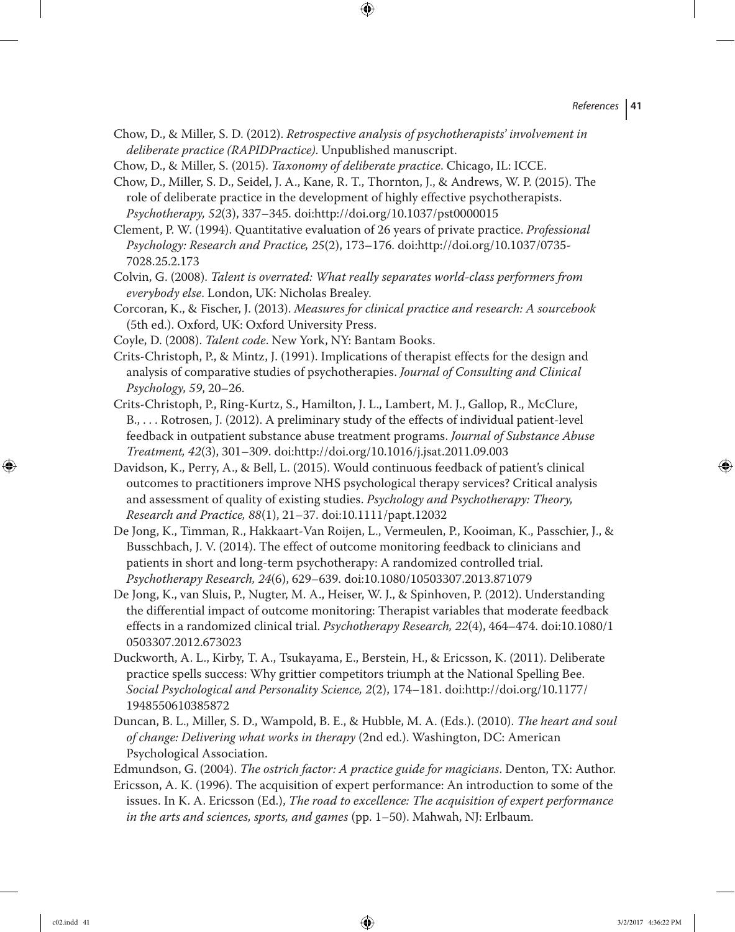### *References* **41**

Chow, D., & Miller, S. D. (2012). *Retrospective analysis of psychotherapists' involvement in deliberate practice (RAPIDPractice)*. Unpublished manuscript.

 $\bigcirc$ 

Chow, D., & Miller, S. (2015). *Taxonomy of deliberate practice*. Chicago, IL: ICCE.

Chow, D., Miller, S. D., Seidel, J. A., Kane, R. T., Thornton, J., & Andrews, W. P. (2015). The role of deliberate practice in the development of highly effective psychotherapists. *Psychotherapy, 52*(3), 337–345. doi:http://doi.org/10.1037/pst0000015

- Clement, P. W. (1994). Quantitative evaluation of 26 years of private practice. *Professional Psychology: Research and Practice, 25*(2), 173–176. doi:http://doi.org/10.1037/0735- 7028.25.2.173
- Colvin, G. (2008). *Talent is overrated: What really separates world‐class performers from everybody else*. London, UK: Nicholas Brealey.
- Corcoran, K., & Fischer, J. (2013). *Measures for clinical practice and research: A sourcebook* (5th ed.). Oxford, UK: Oxford University Press.
- Coyle, D. (2008). *Talent code*. New York, NY: Bantam Books.
- Crits‐Christoph, P., & Mintz, J. (1991). Implications of therapist effects for the design and analysis of comparative studies of psychotherapies. *Journal of Consulting and Clinical Psychology, 59*, 20–26.
- Crits‐Christoph, P., Ring‐Kurtz, S., Hamilton, J. L., Lambert, M. J., Gallop, R., McClure, B., . . . Rotrosen, J. (2012). A preliminary study of the effects of individual patient‐level feedback in outpatient substance abuse treatment programs. *Journal of Substance Abuse Treatment, 42*(3), 301–309. doi:http://doi.org/10.1016/j.jsat.2011.09.003
- Davidson, K., Perry, A., & Bell, L. (2015). Would continuous feedback of patient's clinical outcomes to practitioners improve NHS psychological therapy services? Critical analysis and assessment of quality of existing studies. *Psychology and Psychotherapy: Theory, Research and Practice, 88*(1), 21–37. doi:10.1111/papt.12032
- De Jong, K., Timman, R., Hakkaart‐Van Roijen, L., Vermeulen, P., Kooiman, K., Passchier, J., & Busschbach, J. V. (2014). The effect of outcome monitoring feedback to clinicians and patients in short and long‐term psychotherapy: A randomized controlled trial. *Psychotherapy Research, 24*(6), 629–639. doi:10.1080/10503307.2013.871079
- De Jong, K., van Sluis, P., Nugter, M. A., Heiser, W. J., & Spinhoven, P. (2012). Understanding the differential impact of outcome monitoring: Therapist variables that moderate feedback effects in a randomized clinical trial. *Psychotherapy Research, 22*(4), 464–474. doi:10.1080/1 0503307.2012.673023
- Duckworth, A. L., Kirby, T. A., Tsukayama, E., Berstein, H., & Ericsson, K. (2011). Deliberate practice spells success: Why grittier competitors triumph at the National Spelling Bee. *Social Psychological and Personality Science, 2*(2), 174–181. doi:http://doi.org/10.1177/ 1948550610385872
- Duncan, B. L., Miller, S. D., Wampold, B. E., & Hubble, M. A. (Eds.). (2010). *The heart and soul of change: Delivering what works in therapy* (2nd ed.). Washington, DC: American Psychological Association.

Edmundson, G. (2004). *The ostrich factor: A practice guide for magicians*. Denton, TX: Author.

Ericsson, A. K. (1996). The acquisition of expert performance: An introduction to some of the issues. In K. A. Ericsson (Ed.), *The road to excellence: The acquisition of expert performance in the arts and sciences, sports, and games* (pp. 1–50). Mahwah, NJ: Erlbaum.

⊕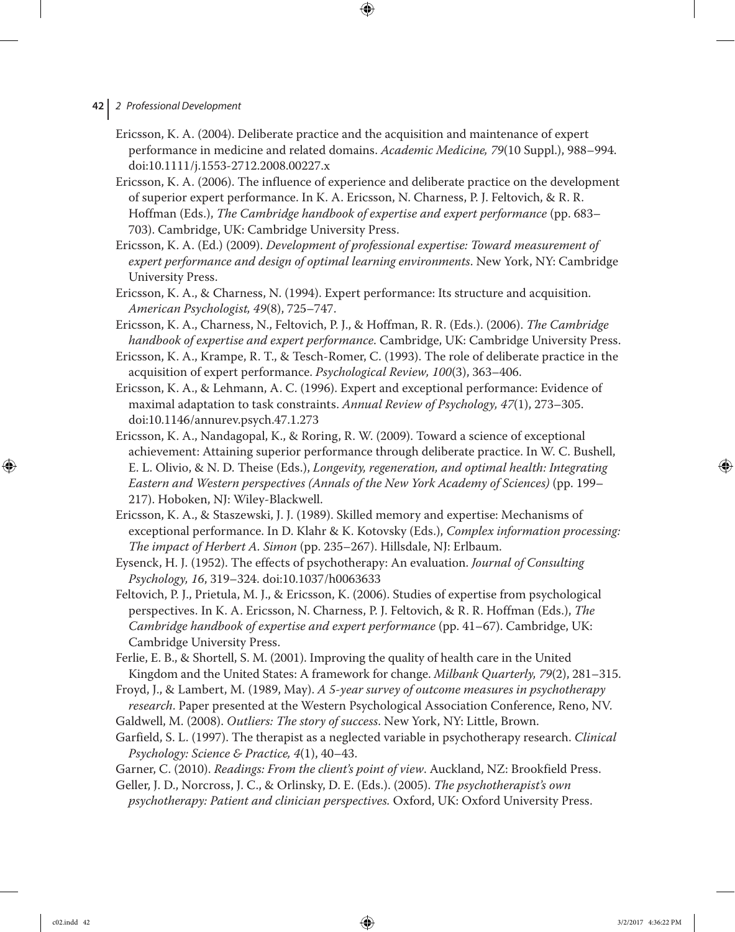**42** *2 Professional Development*

Ericsson, K. A. (2004). Deliberate practice and the acquisition and maintenance of expert performance in medicine and related domains. *Academic Medicine, 79*(10 Suppl.), 988–994. doi:10.1111/j.1553-2712.2008.00227.x

 $\bigcirc$ 

- Ericsson, K. A. (2006). The influence of experience and deliberate practice on the development of superior expert performance. In K. A. Ericsson, N. Charness, P. J. Feltovich, & R. R. Hoffman (Eds.), *The Cambridge handbook of expertise and expert performance* (pp. 683– 703). Cambridge, UK: Cambridge University Press.
- Ericsson, K. A. (Ed.) (2009). *Development of professional expertise: Toward measurement of expert performance and design of optimal learning environments*. New York, NY: Cambridge University Press.
- Ericsson, K. A., & Charness, N. (1994). Expert performance: Its structure and acquisition. *American Psychologist, 49*(8), 725–747.
- Ericsson, K. A., Charness, N., Feltovich, P. J., & Hoffman, R. R. (Eds.). (2006). *The Cambridge handbook of expertise and expert performance*. Cambridge, UK: Cambridge University Press.
- Ericsson, K. A., Krampe, R. T., & Tesch‐Romer, C. (1993). The role of deliberate practice in the acquisition of expert performance. *Psychological Review, 100*(3), 363–406.
- Ericsson, K. A., & Lehmann, A. C. (1996). Expert and exceptional performance: Evidence of maximal adaptation to task constraints. *Annual Review of Psychology, 47*(1), 273–305. doi:10.1146/annurev.psych.47.1.273
- Ericsson, K. A., Nandagopal, K., & Roring, R. W. (2009). Toward a science of exceptional achievement: Attaining superior performance through deliberate practice. In W. C. Bushell, E. L. Olivio, & N. D. Theise (Eds.), *Longevity, regeneration, and optimal health: Integrating Eastern and Western perspectives (Annals of the New York Academy of Sciences)* (pp. 199– 217). Hoboken, NJ: Wiley‐Blackwell.
- Ericsson, K. A., & Staszewski, J. J. (1989). Skilled memory and expertise: Mechanisms of exceptional performance. In D. Klahr & K. Kotovsky (Eds.), *Complex information processing: The impact of Herbert A. Simon* (pp. 235–267). Hillsdale, NJ: Erlbaum.

Eysenck, H. J. (1952). The effects of psychotherapy: An evaluation. *Journal of Consulting Psychology, 16*, 319–324. doi:10.1037/h0063633

Feltovich, P. J., Prietula, M. J., & Ericsson, K. (2006). Studies of expertise from psychological perspectives. In K. A. Ericsson, N. Charness, P. J. Feltovich, & R. R. Hoffman (Eds.), *The Cambridge handbook of expertise and expert performance* (pp. 41–67). Cambridge, UK: Cambridge University Press.

Ferlie, E. B., & Shortell, S. M. (2001). Improving the quality of health care in the United Kingdom and the United States: A framework for change. *Milbank Quarterly, 79*(2), 281–315.

- Froyd, J., & Lambert, M. (1989, May). *A 5‐year survey of outcome measures in psychotherapy research*. Paper presented at the Western Psychological Association Conference, Reno, NV.
- Galdwell, M. (2008). *Outliers: The story of success*. New York, NY: Little, Brown.

Garfield, S. L. (1997). The therapist as a neglected variable in psychotherapy research. *Clinical Psychology: Science & Practice, 4*(1), 40–43.

Garner, C. (2010). *Readings: From the client's point of view*. Auckland, NZ: Brookfield Press.

Geller, J. D., Norcross, J. C., & Orlinsky, D. E. (Eds.). (2005). *The psychotherapist's own psychotherapy: Patient and clinician perspectives.* Oxford, UK: Oxford University Press.

⊕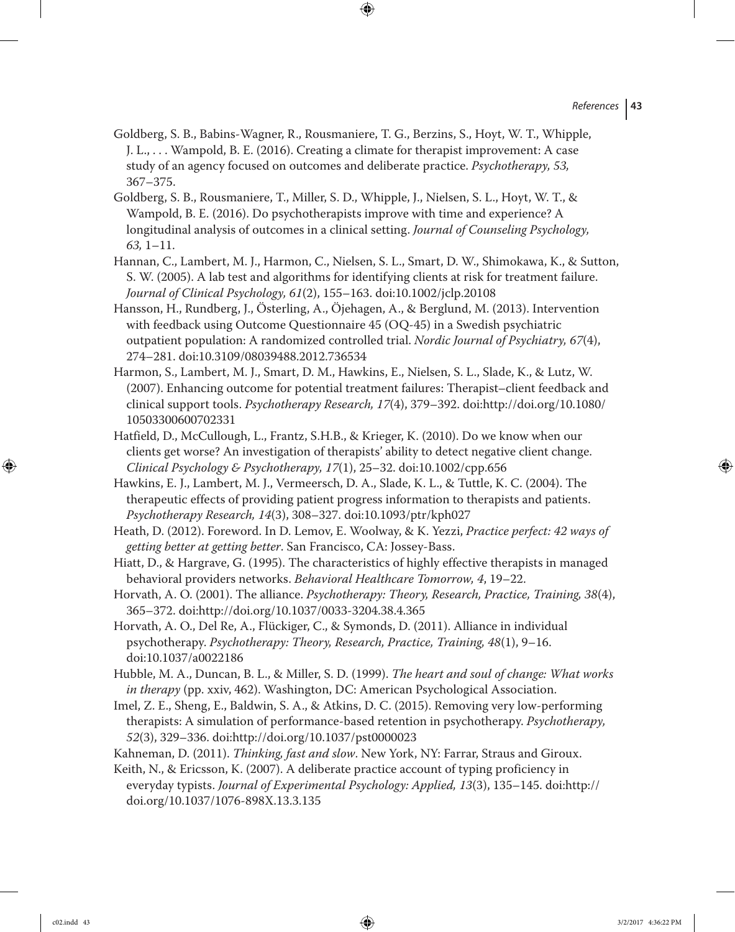### *References* **43**

Goldberg, S. B., Babins‐Wagner, R., Rousmaniere, T. G., Berzins, S., Hoyt, W. T., Whipple, J. L., . . . Wampold, B. E. (2016). Creating a climate for therapist improvement: A case study of an agency focused on outcomes and deliberate practice. *Psychotherapy, 53,* 367–375.

 $\bigcirc$ 

- Goldberg, S. B., Rousmaniere, T., Miller, S. D., Whipple, J., Nielsen, S. L., Hoyt, W. T., & Wampold, B. E. (2016). Do psychotherapists improve with time and experience? A longitudinal analysis of outcomes in a clinical setting. *Journal of Counseling Psychology, 63,* 1–11.
- Hannan, C., Lambert, M. J., Harmon, C., Nielsen, S. L., Smart, D. W., Shimokawa, K., & Sutton, S. W. (2005). A lab test and algorithms for identifying clients at risk for treatment failure. *Journal of Clinical Psychology, 61*(2), 155–163. doi:10.1002/jclp.20108
- Hansson, H., Rundberg, J., Österling, A., Öjehagen, A., & Berglund, M. (2013). Intervention with feedback using Outcome Questionnaire 45 (OQ-45) in a Swedish psychiatric outpatient population: A randomized controlled trial. *Nordic Journal of Psychiatry, 67*(4), 274–281. doi:10.3109/08039488.2012.736534
- Harmon, S., Lambert, M. J., Smart, D. M., Hawkins, E., Nielsen, S. L., Slade, K., & Lutz, W. (2007). Enhancing outcome for potential treatment failures: Therapist–client feedback and clinical support tools. *Psychotherapy Research, 17*(4), 379–392. doi:http://doi.org/10.1080/ 10503300600702331
- Hatfield, D., McCullough, L., Frantz, S.H.B., & Krieger, K. (2010). Do we know when our clients get worse? An investigation of therapists' ability to detect negative client change. *Clinical Psychology & Psychotherapy, 17*(1), 25–32. doi:10.1002/cpp.656
- Hawkins, E. J., Lambert, M. J., Vermeersch, D. A., Slade, K. L., & Tuttle, K. C. (2004). The therapeutic effects of providing patient progress information to therapists and patients. *Psychotherapy Research, 14*(3), 308–327. doi:10.1093/ptr/kph027
- Heath, D. (2012). Foreword. In D. Lemov, E. Woolway, & K. Yezzi, *Practice perfect: 42 ways of getting better at getting better*. San Francisco, CA: Jossey‐Bass.
- Hiatt, D., & Hargrave, G. (1995). The characteristics of highly effective therapists in managed behavioral providers networks. *Behavioral Healthcare Tomorrow, 4*, 19–22.
- Horvath, A. O. (2001). The alliance. *Psychotherapy: Theory, Research, Practice, Training, 38*(4), 365–372. doi:http://doi.org/10.1037/0033-3204.38.4.365
- Horvath, A. O., Del Re, A., Flückiger, C., & Symonds, D. (2011). Alliance in individual psychotherapy. *Psychotherapy: Theory, Research, Practice, Training, 48*(1), 9–16. doi:10.1037/a0022186
- Hubble, M. A., Duncan, B. L., & Miller, S. D. (1999). *The heart and soul of change: What works in therapy* (pp. xxiv, 462). Washington, DC: American Psychological Association.
- Imel, Z. E., Sheng, E., Baldwin, S. A., & Atkins, D. C. (2015). Removing very low‐performing therapists: A simulation of performance‐based retention in psychotherapy. *Psychotherapy, 52*(3), 329–336. doi:http://doi.org/10.1037/pst0000023
- Kahneman, D. (2011). *Thinking, fast and slow*. New York, NY: Farrar, Straus and Giroux.
- Keith, N., & Ericsson, K. (2007). A deliberate practice account of typing proficiency in everyday typists. *Journal of Experimental Psychology: Applied, 13*(3), 135–145. doi:http:// doi.org/10.1037/1076-898X.13.3.135

⊕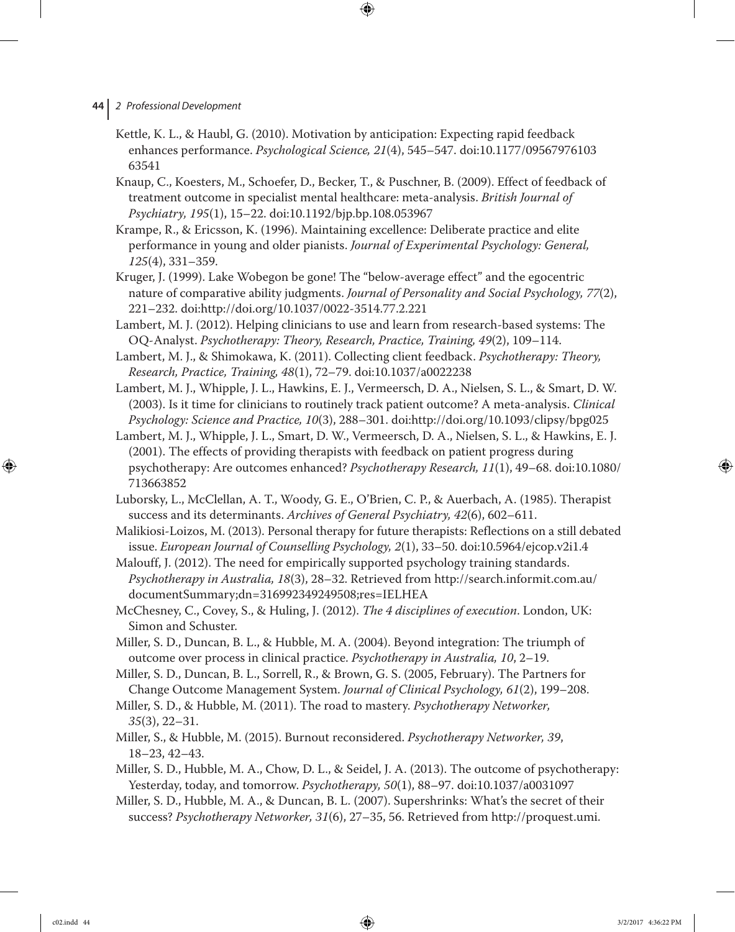Kettle, K. L., & Haubl, G. (2010). Motivation by anticipation: Expecting rapid feedback enhances performance. *Psychological Science, 21*(4), 545–547. doi:10.1177/09567976103 63541

 $\bigcirc$ 

Knaup, C., Koesters, M., Schoefer, D., Becker, T., & Puschner, B. (2009). Effect of feedback of treatment outcome in specialist mental healthcare: meta‐analysis. *British Journal of Psychiatry, 195*(1), 15–22. doi:10.1192/bjp.bp.108.053967

Krampe, R., & Ericsson, K. (1996). Maintaining excellence: Deliberate practice and elite performance in young and older pianists. *Journal of Experimental Psychology: General, 125*(4), 331–359.

- Kruger, J. (1999). Lake Wobegon be gone! The "below‐average effect" and the egocentric nature of comparative ability judgments. *Journal of Personality and Social Psychology, 77*(2), 221–232. doi:http://doi.org/10.1037/0022-3514.77.2.221
- Lambert, M. J. (2012). Helping clinicians to use and learn from research‐based systems: The OQ‐Analyst. *Psychotherapy: Theory, Research, Practice, Training, 49*(2), 109–114.
- Lambert, M. J., & Shimokawa, K. (2011). Collecting client feedback. *Psychotherapy: Theory, Research, Practice, Training, 48*(1), 72–79. doi:10.1037/a0022238

Lambert, M. J., Whipple, J. L., Hawkins, E. J., Vermeersch, D. A., Nielsen, S. L., & Smart, D. W. (2003). Is it time for clinicians to routinely track patient outcome? A meta‐analysis. *Clinical Psychology: Science and Practice, 10*(3), 288–301. doi:http://doi.org/10.1093/clipsy/bpg025

- Lambert, M. J., Whipple, J. L., Smart, D. W., Vermeersch, D. A., Nielsen, S. L., & Hawkins, E. J. (2001). The effects of providing therapists with feedback on patient progress during psychotherapy: Are outcomes enhanced? *Psychotherapy Research, 11*(1), 49–68. doi:10.1080/ 713663852
- Luborsky, L., McClellan, A. T., Woody, G. E., O'Brien, C. P., & Auerbach, A. (1985). Therapist success and its determinants. *Archives of General Psychiatry, 42*(6), 602–611.

Malikiosi‐Loizos, M. (2013). Personal therapy for future therapists: Reflections on a still debated issue. *European Journal of Counselling Psychology, 2*(1), 33–50. doi:10.5964/ejcop.v2i1.4

Malouff, J. (2012). The need for empirically supported psychology training standards. *Psychotherapy in Australia, 18*(3), 28–32. Retrieved from http://search.informit.com.au/ documentSummary;dn=316992349249508;res=IELHEA

- McChesney, C., Covey, S., & Huling, J. (2012). *The 4 disciplines of execution*. London, UK: Simon and Schuster.
- Miller, S. D., Duncan, B. L., & Hubble, M. A. (2004). Beyond integration: The triumph of outcome over process in clinical practice. *Psychotherapy in Australia, 10*, 2–19.

Miller, S. D., Duncan, B. L., Sorrell, R., & Brown, G. S. (2005, February). The Partners for Change Outcome Management System. *Journal of Clinical Psychology, 61*(2), 199–208.

- Miller, S. D., & Hubble, M. (2011). The road to mastery. *Psychotherapy Networker, 35*(3), 22–31.
- Miller, S., & Hubble, M. (2015). Burnout reconsidered. *Psychotherapy Networker, 39*, 18–23, 42–43.
- Miller, S. D., Hubble, M. A., Chow, D. L., & Seidel, J. A. (2013). The outcome of psychotherapy: Yesterday, today, and tomorrow. *Psychotherapy, 50*(1), 88–97. doi:10.1037/a0031097
- Miller, S. D., Hubble, M. A., & Duncan, B. L. (2007). Supershrinks: What's the secret of their success? *Psychotherapy Networker, 31*(6), 27–35, 56. Retrieved from http://proquest.umi.

⊕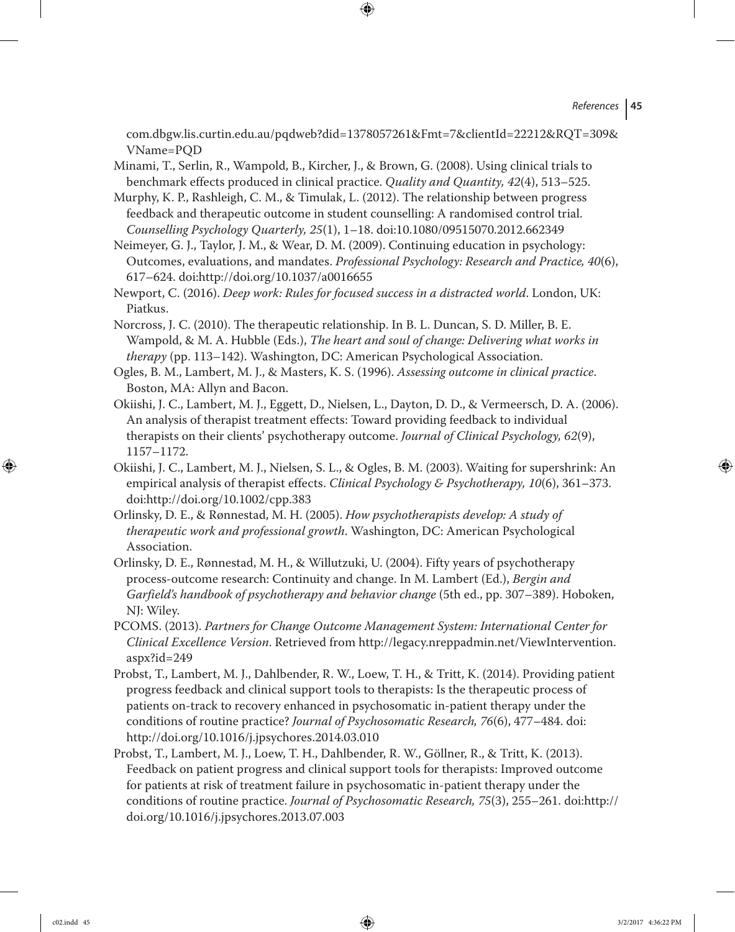## *References* **45**

com.dbgw.lis.curtin.edu.au/pqdweb?did=1378057261&Fmt=7&clientId=22212&RQT=309& VName=PQD

 $\bigcirc$ 

Minami, T., Serlin, R., Wampold, B., Kircher, J., & Brown, G. (2008). Using clinical trials to benchmark effects produced in clinical practice. *Quality and Quantity, 42*(4), 513–525.

Murphy, K. P., Rashleigh, C. M., & Timulak, L. (2012). The relationship between progress feedback and therapeutic outcome in student counselling: A randomised control trial. *Counselling Psychology Quarterly, 25*(1), 1–18. doi:10.1080/09515070.2012.662349

Neimeyer, G. J., Taylor, J. M., & Wear, D. M. (2009). Continuing education in psychology: Outcomes, evaluations, and mandates. *Professional Psychology: Research and Practice, 40*(6), 617–624. doi:http://doi.org/10.1037/a0016655

Newport, C. (2016). *Deep work: Rules for focused success in a distracted world*. London, UK: Piatkus.

Norcross, J. C. (2010). The therapeutic relationship. In B. L. Duncan, S. D. Miller, B. E. Wampold, & M. A. Hubble (Eds.), *The heart and soul of change: Delivering what works in therapy* (pp. 113–142). Washington, DC: American Psychological Association.

Ogles, B. M., Lambert, M. J., & Masters, K. S. (1996). *Assessing outcome in clinical practice*. Boston, MA: Allyn and Bacon.

- Okiishi, J. C., Lambert, M. J., Eggett, D., Nielsen, L., Dayton, D. D., & Vermeersch, D. A. (2006). An analysis of therapist treatment effects: Toward providing feedback to individual therapists on their clients' psychotherapy outcome. *Journal of Clinical Psychology, 62*(9), 1157–1172.
- Okiishi, J. C., Lambert, M. J., Nielsen, S. L., & Ogles, B. M. (2003). Waiting for supershrink: An empirical analysis of therapist effects. *Clinical Psychology & Psychotherapy, 10*(6), 361–373. doi:http://doi.org/10.1002/cpp.383
- Orlinsky, D. E., & Rønnestad, M. H. (2005). *How psychotherapists develop: A study of therapeutic work and professional growth*. Washington, DC: American Psychological Association.
- Orlinsky, D. E., Rønnestad, M. H., & Willutzuki, U. (2004). Fifty years of psychotherapy process‐outcome research: Continuity and change. In M. Lambert (Ed.), *Bergin and Garfield's handbook of psychotherapy and behavior change* (5th ed., pp. 307–389). Hoboken, NJ: Wiley.
- PCOMS. (2013). *Partners for Change Outcome Management System: International Center for Clinical Excellence Version*. Retrieved from http://legacy.nreppadmin.net/ViewIntervention. aspx?id=249
- Probst, T., Lambert, M. J., Dahlbender, R. W., Loew, T. H., & Tritt, K. (2014). Providing patient progress feedback and clinical support tools to therapists: Is the therapeutic process of patients on‐track to recovery enhanced in psychosomatic in‐patient therapy under the conditions of routine practice? *Journal of Psychosomatic Research, 76*(6), 477–484. doi: http://doi.org/10.1016/j.jpsychores.2014.03.010
- Probst, T., Lambert, M. J., Loew, T. H., Dahlbender, R. W., Göllner, R., & Tritt, K. (2013). Feedback on patient progress and clinical support tools for therapists: Improved outcome for patients at risk of treatment failure in psychosomatic in-patient therapy under the conditions of routine practice. *Journal of Psychosomatic Research, 75*(3), 255–261. doi:http:// doi.org/10.1016/j.jpsychores.2013.07.003

⊕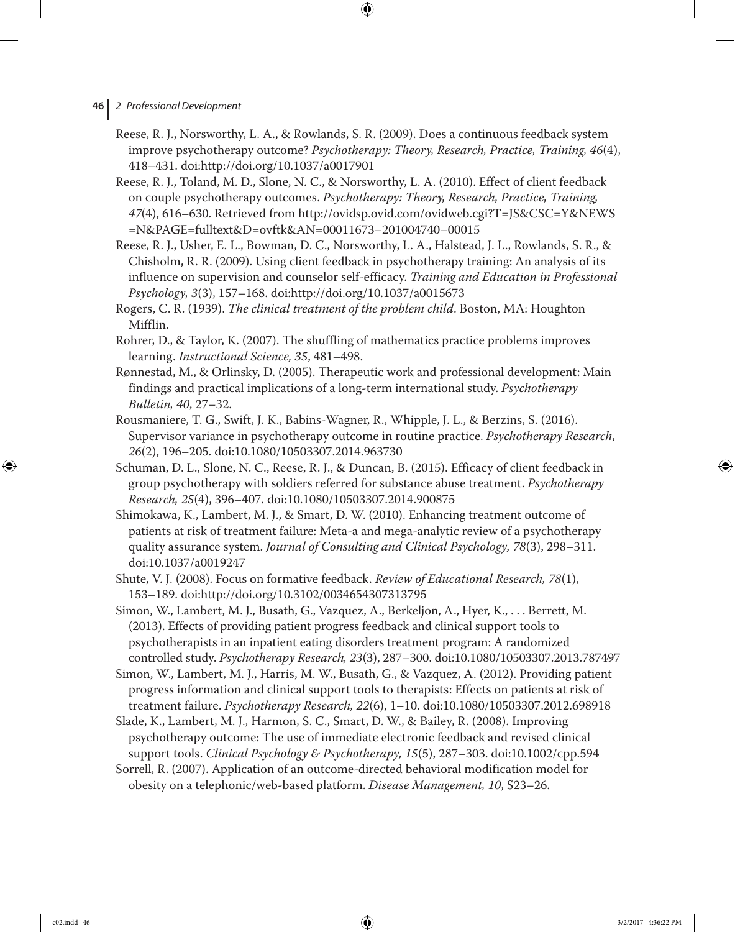Reese, R. J., Norsworthy, L. A., & Rowlands, S. R. (2009). Does a continuous feedback system improve psychotherapy outcome? *Psychotherapy: Theory, Research, Practice, Training, 46*(4), 418–431. doi:http://doi.org/10.1037/a0017901

 $\bigcirc$ 

- Reese, R. J., Toland, M. D., Slone, N. C., & Norsworthy, L. A. (2010). Effect of client feedback on couple psychotherapy outcomes. *Psychotherapy: Theory, Research, Practice, Training, 47*(4), 616–630. Retrieved from http://ovidsp.ovid.com/ovidweb.cgi?T=JS&CSC=Y&NEWS =N&PAGE=fulltext&D=ovftk&AN=00011673–201004740–00015
- Reese, R. J., Usher, E. L., Bowman, D. C., Norsworthy, L. A., Halstead, J. L., Rowlands, S. R., & Chisholm, R. R. (2009). Using client feedback in psychotherapy training: An analysis of its influence on supervision and counselor self‐efficacy. *Training and Education in Professional Psychology, 3*(3), 157–168. doi:http://doi.org/10.1037/a0015673
- Rogers, C. R. (1939). *The clinical treatment of the problem child*. Boston, MA: Houghton Mifflin.
- Rohrer, D., & Taylor, K. (2007). The shuffling of mathematics practice problems improves learning. *Instructional Science, 35*, 481–498.
- Rønnestad, M., & Orlinsky, D. (2005). Therapeutic work and professional development: Main findings and practical implications of a long‐term international study. *Psychotherapy Bulletin, 40*, 27–32.
- Rousmaniere, T. G., Swift, J. K., Babins‐Wagner, R., Whipple, J. L., & Berzins, S. (2016). Supervisor variance in psychotherapy outcome in routine practice. *Psychotherapy Research*, *26*(2), 196–205. doi:10.1080/10503307.2014.963730
- Schuman, D. L., Slone, N. C., Reese, R. J., & Duncan, B. (2015). Efficacy of client feedback in group psychotherapy with soldiers referred for substance abuse treatment. *Psychotherapy Research, 25*(4), 396–407. doi:10.1080/10503307.2014.900875
- Shimokawa, K., Lambert, M. J., & Smart, D. W. (2010). Enhancing treatment outcome of patients at risk of treatment failure: Meta‐a and mega‐analytic review of a psychotherapy quality assurance system. *Journal of Consulting and Clinical Psychology, 78*(3), 298–311. doi:10.1037/a0019247
- Shute, V. J. (2008). Focus on formative feedback. *Review of Educational Research, 78*(1), 153–189. doi:http://doi.org/10.3102/0034654307313795
- Simon, W., Lambert, M. J., Busath, G., Vazquez, A., Berkeljon, A., Hyer, K., . . . Berrett, M. (2013). Effects of providing patient progress feedback and clinical support tools to psychotherapists in an inpatient eating disorders treatment program: A randomized controlled study. *Psychotherapy Research, 23*(3), 287–300. doi:10.1080/10503307.2013.787497
- Simon, W., Lambert, M. J., Harris, M. W., Busath, G., & Vazquez, A. (2012). Providing patient progress information and clinical support tools to therapists: Effects on patients at risk of treatment failure. *Psychotherapy Research, 22*(6), 1–10. doi:10.1080/10503307.2012.698918
- Slade, K., Lambert, M. J., Harmon, S. C., Smart, D. W., & Bailey, R. (2008). Improving psychotherapy outcome: The use of immediate electronic feedback and revised clinical support tools. *Clinical Psychology & Psychotherapy, 15*(5), 287–303. doi:10.1002/cpp.594
- Sorrell, R. (2007). Application of an outcome‐directed behavioral modification model for obesity on a telephonic/web‐based platform. *Disease Management, 10*, S23–26.

⊕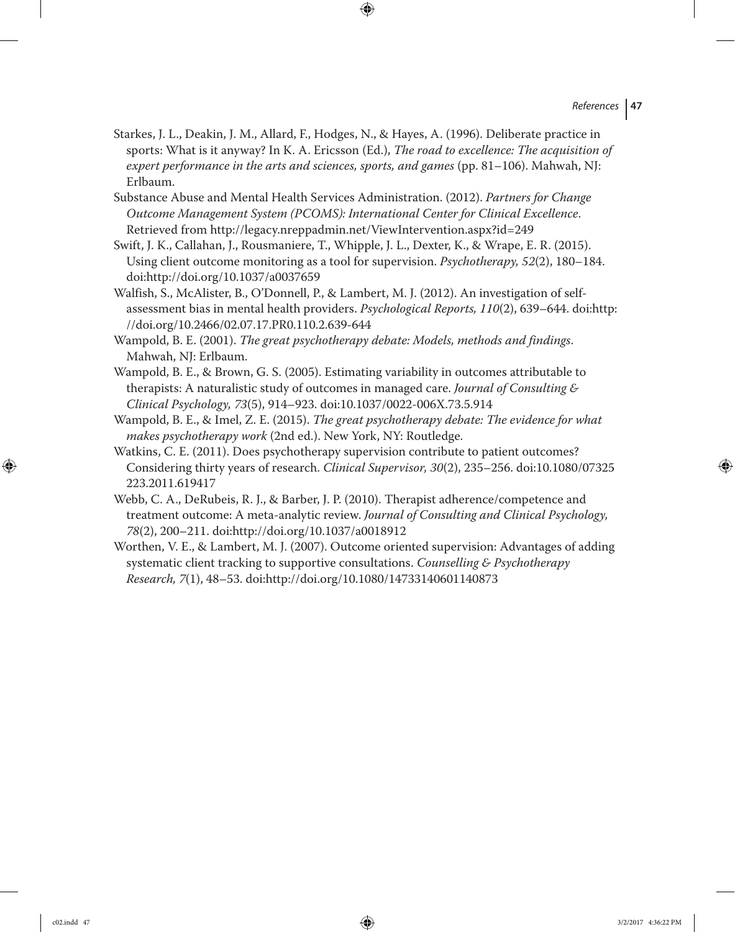### *References* **47**

Starkes, J. L., Deakin, J. M., Allard, F., Hodges, N., & Hayes, A. (1996). Deliberate practice in sports: What is it anyway? In K. A. Ericsson (Ed.), *The road to excellence: The acquisition of expert performance in the arts and sciences, sports, and games* (pp. 81–106). Mahwah, NJ: Erlbaum.

 $\bigcirc$ 

- Substance Abuse and Mental Health Services Administration. (2012). *Partners for Change Outcome Management System (PCOMS): International Center for Clinical Excellence*. Retrieved from http://legacy.nreppadmin.net/ViewIntervention.aspx?id=249
- Swift, J. K., Callahan, J., Rousmaniere, T., Whipple, J. L., Dexter, K., & Wrape, E. R. (2015). Using client outcome monitoring as a tool for supervision. *Psychotherapy, 52*(2), 180–184. doi:http://doi.org/10.1037/a0037659
- Walfish, S., McAlister, B., O'Donnell, P., & Lambert, M. J. (2012). An investigation of selfassessment bias in mental health providers. *Psychological Reports, 110*(2), 639–644. doi:http: //doi.org/10.2466/02.07.17.PR0.110.2.639-644
- Wampold, B. E. (2001). *The great psychotherapy debate: Models, methods and findings*. Mahwah, NJ: Erlbaum.
- Wampold, B. E., & Brown, G. S. (2005). Estimating variability in outcomes attributable to therapists: A naturalistic study of outcomes in managed care. *Journal of Consulting & Clinical Psychology, 73*(5), 914–923. doi:10.1037/0022-006X.73.5.914
- Wampold, B. E., & Imel, Z. E. (2015). *The great psychotherapy debate: The evidence for what makes psychotherapy work* (2nd ed.). New York, NY: Routledge.
- Watkins, C. E. (2011). Does psychotherapy supervision contribute to patient outcomes? Considering thirty years of research. *Clinical Supervisor, 30*(2), 235–256. doi:10.1080/07325 223.2011.619417
- Webb, C. A., DeRubeis, R. J., & Barber, J. P. (2010). Therapist adherence/competence and treatment outcome: A meta‐analytic review. *Journal of Consulting and Clinical Psychology, 78*(2), 200–211. doi:http://doi.org/10.1037/a0018912
- Worthen, V. E., & Lambert, M. J. (2007). Outcome oriented supervision: Advantages of adding systematic client tracking to supportive consultations. *Counselling & Psychotherapy Research, 7*(1), 48–53. doi:http://doi.org/10.1080/14733140601140873

⊕